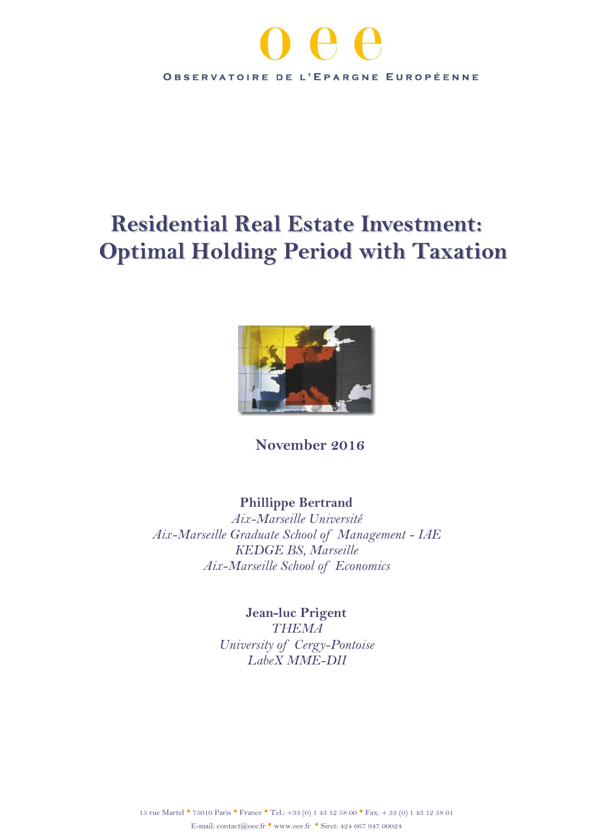

# **Residential Real Estate Investment: Optimal Holding Period with Taxation**



**November 2016**

# **Phillippe Bertrand**

*Aix-Marseille Université Aix-Marseille Graduate School of Management - IAE KEDGE BS, Marseille Aix-Marseille School of Economics*

> **Jean-luc Prigent** *THEMA University of Cergy-Pontoise LabeX MME-DII*

15 rue Martel• 75010 Paris • France • Tel.: +33 (0) 1 43 12 58 00 • Fax: + 33 (0) 1 43 12 58 01 E-mail: contact@oee.fr • [www.oee.fr](http://www.oee.fr/) • Siret: 424 667 947 00024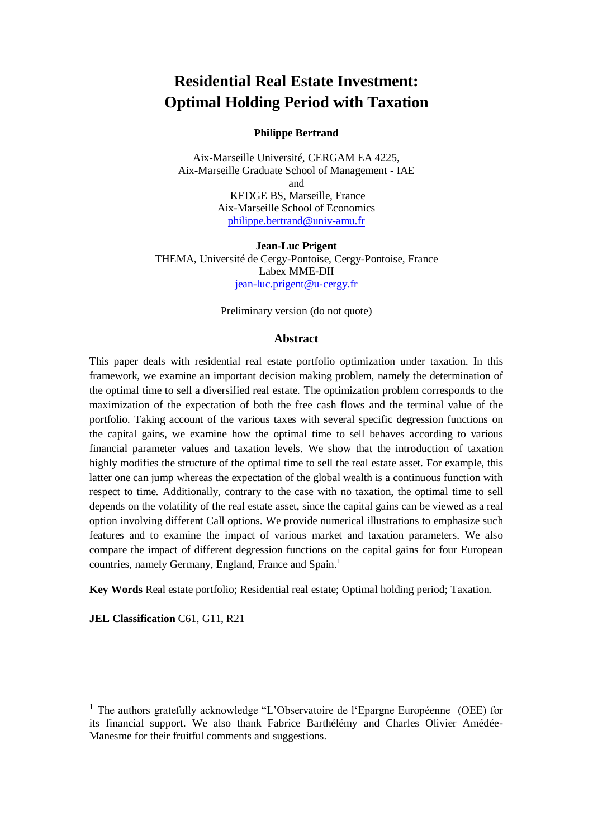# **Residential Real Estate Investment: Optimal Holding Period with Taxation**

#### **Philippe Bertrand**

Aix-Marseille Université, CERGAM EA 4225, Aix-Marseille Graduate School of Management - IAE and KEDGE BS, Marseille, France Aix-Marseille School of Economics [philippe.bertrand@univ-amu.fr](mailto:philippe.bertrand@univ-amu.fr)

**Jean-Luc Prigent** THEMA, Université de Cergy-Pontoise, Cergy-Pontoise, France Labex MME-DII [jean-luc.prigent@u-cergy.fr](mailto:jean-luc.prigent@u-cergy.fr)

Preliminary version (do not quote)

#### **Abstract**

This paper deals with residential real estate portfolio optimization under taxation. In this framework, we examine an important decision making problem, namely the determination of the optimal time to sell a diversified real estate. The optimization problem corresponds to the maximization of the expectation of both the free cash flows and the terminal value of the portfolio. Taking account of the various taxes with several specific degression functions on the capital gains, we examine how the optimal time to sell behaves according to various financial parameter values and taxation levels. We show that the introduction of taxation highly modifies the structure of the optimal time to sell the real estate asset. For example, this latter one can jump whereas the expectation of the global wealth is a continuous function with respect to time. Additionally, contrary to the case with no taxation, the optimal time to sell depends on the volatility of the real estate asset, since the capital gains can be viewed as a real option involving different Call options. We provide numerical illustrations to emphasize such features and to examine the impact of various market and taxation parameters. We also compare the impact of different degression functions on the capital gains for four European countries, namely Germany, England, France and Spain. 1

**Key Words** Real estate portfolio; Residential real estate; Optimal holding period; Taxation.

**JEL Classification** C61, G11, R21

 $\overline{a}$ 

<sup>1</sup> The authors gratefully acknowledge "L'Observatoire de l'Epargne Européenne (OEE) for its financial support. We also thank Fabrice Barthélémy and Charles Olivier Amédée-Manesme for their fruitful comments and suggestions.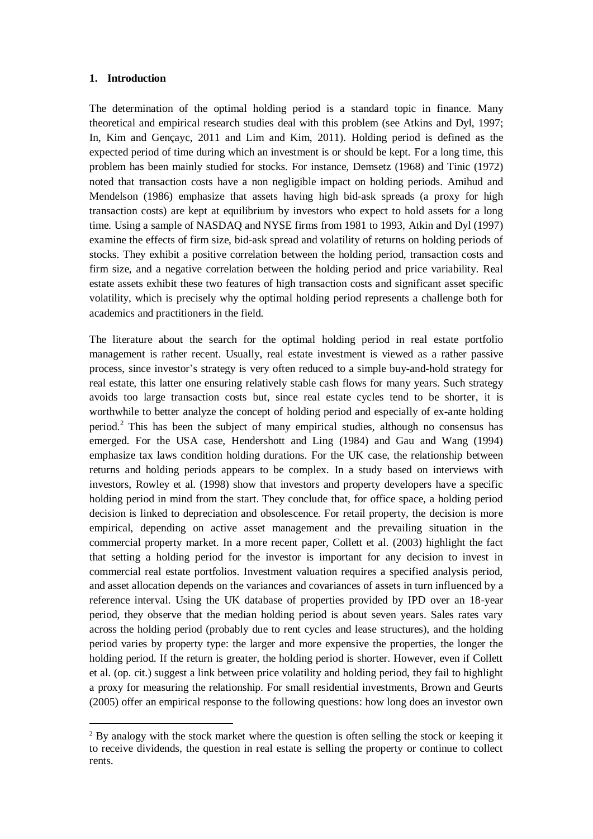#### **1. Introduction**

 $\overline{a}$ 

The determination of the optimal holding period is a standard topic in finance. Many theoretical and empirical research studies deal with this problem (see Atkins and Dyl, 1997; In, Kim and Gençayc, 2011 and Lim and Kim, 2011). Holding period is defined as the expected period of time during which an investment is or should be kept. For a long time, this problem has been mainly studied for stocks. For instance, Demsetz (1968) and Tinic (1972) noted that transaction costs have a non negligible impact on holding periods. Amihud and Mendelson (1986) emphasize that assets having high bid-ask spreads (a proxy for high transaction costs) are kept at equilibrium by investors who expect to hold assets for a long time. Using a sample of NASDAQ and NYSE firms from 1981 to 1993, Atkin and Dyl (1997) examine the effects of firm size, bid-ask spread and volatility of returns on holding periods of stocks. They exhibit a positive correlation between the holding period, transaction costs and firm size, and a negative correlation between the holding period and price variability. Real estate assets exhibit these two features of high transaction costs and significant asset specific volatility, which is precisely why the optimal holding period represents a challenge both for academics and practitioners in the field.

The literature about the search for the optimal holding period in real estate portfolio management is rather recent. Usually, real estate investment is viewed as a rather passive process, since investor's strategy is very often reduced to a simple buy-and-hold strategy for real estate, this latter one ensuring relatively stable cash flows for many years. Such strategy avoids too large transaction costs but, since real estate cycles tend to be shorter, it is worthwhile to better analyze the concept of holding period and especially of ex-ante holding period.<sup>2</sup> This has been the subject of many empirical studies, although no consensus has emerged. For the USA case, Hendershott and Ling (1984) and Gau and Wang (1994) emphasize tax laws condition holding durations. For the UK case, the relationship between returns and holding periods appears to be complex. In a study based on interviews with investors, Rowley et al. (1998) show that investors and property developers have a specific holding period in mind from the start. They conclude that, for office space, a holding period decision is linked to depreciation and obsolescence. For retail property, the decision is more empirical, depending on active asset management and the prevailing situation in the commercial property market. In a more recent paper, Collett et al. (2003) highlight the fact that setting a holding period for the investor is important for any decision to invest in commercial real estate portfolios. Investment valuation requires a specified analysis period, and asset allocation depends on the variances and covariances of assets in turn influenced by a reference interval. Using the UK database of properties provided by IPD over an 18-year period, they observe that the median holding period is about seven years. Sales rates vary across the holding period (probably due to rent cycles and lease structures), and the holding period varies by property type: the larger and more expensive the properties, the longer the holding period. If the return is greater, the holding period is shorter. However, even if Collett et al. (op. cit.) suggest a link between price volatility and holding period, they fail to highlight a proxy for measuring the relationship. For small residential investments, Brown and Geurts (2005) offer an empirical response to the following questions: how long does an investor own

 $2$  By analogy with the stock market where the question is often selling the stock or keeping it to receive dividends, the question in real estate is selling the property or continue to collect rents.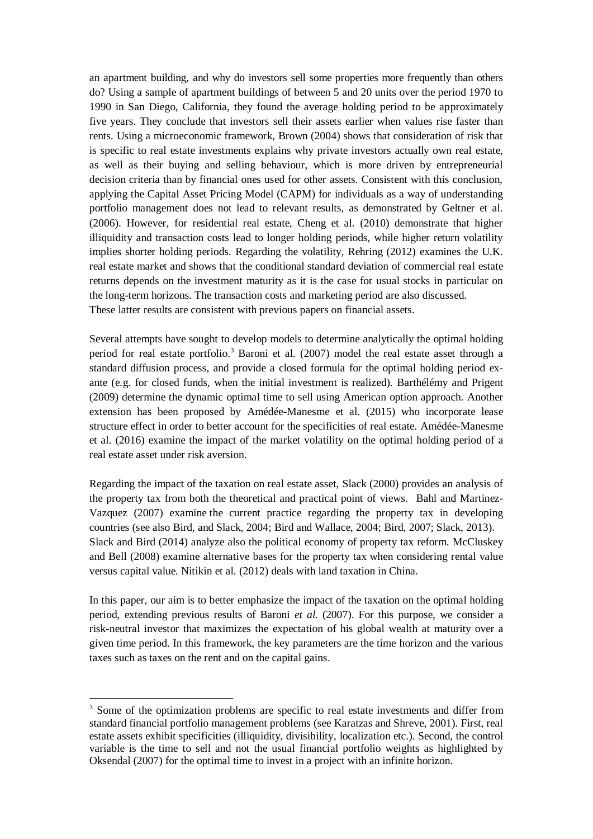an apartment building, and why do investors sell some properties more frequently than others do? Using a sample of apartment buildings of between 5 and 20 units over the period 1970 to 1990 in San Diego, California, they found the average holding period to be approximately five years. They conclude that investors sell their assets earlier when values rise faster than rents. Using a microeconomic framework, Brown (2004) shows that consideration of risk that is specific to real estate investments explains why private investors actually own real estate, as well as their buying and selling behaviour, which is more driven by entrepreneurial decision criteria than by financial ones used for other assets. Consistent with this conclusion, applying the Capital Asset Pricing Model (CAPM) for individuals as a way of understanding portfolio management does not lead to relevant results, as demonstrated by Geltner et al. (2006). However, for residential real estate, Cheng et al. (2010) demonstrate that higher illiquidity and transaction costs lead to longer holding periods, while higher return volatility implies shorter holding periods. Regarding the volatility, Rehring (2012) examines the U.K. real estate market and shows that the conditional standard deviation of commercial real estate returns depends on the investment maturity as it is the case for usual stocks in particular on the long-term horizons. The transaction costs and marketing period are also discussed. These latter results are consistent with previous papers on financial assets.

Several attempts have sought to develop models to determine analytically the optimal holding period for real estate portfolio.<sup>3</sup> Baroni et al. (2007) model the real estate asset through a standard diffusion process, and provide a closed formula for the optimal holding period exante (e.g. for closed funds, when the initial investment is realized). Barthélémy and Prigent (2009) determine the dynamic optimal time to sell using American option approach. Another extension has been proposed by Amédée-Manesme et al. (2015) who incorporate lease structure effect in order to better account for the specificities of real estate. Amédée-Manesme et al. (2016) examine the impact of the market volatility on the optimal holding period of a real estate asset under risk aversion.

Regarding the impact of the taxation on real estate asset, Slack (2000) provides an analysis of the property tax from both the theoretical and practical point of views. Bahl and Martinez-Vazquez (2007) examine the current practice regarding the property tax in developing countries (see also Bird, and Slack, 2004; Bird and Wallace, 2004; Bird, 2007; Slack, 2013). Slack and Bird (2014) analyze also the political economy of property tax reform. McCluskey and Bell (2008) examine alternative bases for the property tax when considering rental value versus capital value. Nitikin et al. (2012) deals with land taxation in China.

In this paper, our aim is to better emphasize the impact of the taxation on the optimal holding period, extending previous results of Baroni *et al.* (2007). For this purpose, we consider a risk-neutral investor that maximizes the expectation of his global wealth at maturity over a given time period. In this framework, the key parameters are the time horizon and the various taxes such as taxes on the rent and on the capital gains.

<sup>&</sup>lt;sup>3</sup> Some of the optimization problems are specific to real estate investments and differ from standard financial portfolio management problems (see Karatzas and Shreve, 2001). First, real estate assets exhibit specificities (illiquidity, divisibility, localization etc.). Second, the control variable is the time to sell and not the usual financial portfolio weights as highlighted by Oksendal (2007) for the optimal time to invest in a project with an infinite horizon.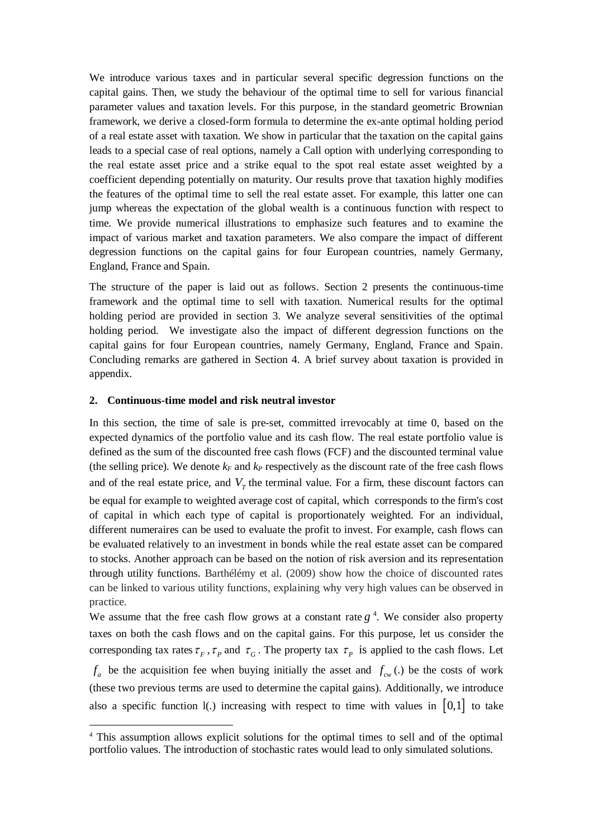We introduce various taxes and in particular several specific degression functions on the capital gains. Then, we study the behaviour of the optimal time to sell for various financial parameter values and taxation levels. For this purpose, in the standard geometric Brownian framework, we derive a closed-form formula to determine the ex-ante optimal holding period of a real estate asset with taxation. We show in particular that the taxation on the capital gains leads to a special case of real options, namely a Call option with underlying corresponding to the real estate asset price and a strike equal to the spot real estate asset weighted by a coefficient depending potentially on maturity. Our results prove that taxation highly modifies the features of the optimal time to sell the real estate asset. For example, this latter one can jump whereas the expectation of the global wealth is a continuous function with respect to time. We provide numerical illustrations to emphasize such features and to examine the impact of various market and taxation parameters. We also compare the impact of different degression functions on the capital gains for four European countries, namely Germany, England, France and Spain.

The structure of the paper is laid out as follows. Section 2 presents the continuous-time framework and the optimal time to sell with taxation. Numerical results for the optimal holding period are provided in section 3. We analyze several sensitivities of the optimal holding period. We investigate also the impact of different degression functions on the capital gains for four European countries, namely Germany, England, France and Spain. Concluding remarks are gathered in Section 4. A brief survey about taxation is provided in appendix.

#### **2. Continuous-time model and risk neutral investor**

 $\overline{a}$ 

In this section, the time of sale is pre-set, committed irrevocably at time 0, based on the expected dynamics of the portfolio value and its cash flow. The real estate portfolio value is defined as the sum of the discounted free cash flows (FCF) and the discounted terminal value (the selling price). We denote  $k_F$  and  $k_P$  respectively as the discount rate of the free cash flows and of the real estate price, and  $V_T$  the terminal value. For a firm, these discount factors can

be equal for example to weighted average cost of capital, which corresponds to the [firm's](http://www.investopedia.com/terms/f/firm.asp) [cost](http://www.investopedia.com/terms/c/costofcapital.asp)  [of capital](http://www.investopedia.com/terms/c/costofcapital.asp) in which each type of [capital](http://www.investopedia.com/terms/c/capital.asp) is proportionately [weighted.](http://www.investopedia.com/terms/w/weighted.asp) For an individual, different numeraires can be used to evaluate the profit to invest. For example, cash flows can be evaluated relatively to an investment in bonds while the real estate asset can be compared to stocks. Another approach can be based on the notion of risk aversion and its representation through utility functions. Barthélémy et al. (2009) show how the choice of discounted rates can be linked to various utility functions, explaining why very high values can be observed in practice.

We assume that the free cash flow grows at a constant rate  $g<sup>4</sup>$ . We consider also property taxes on both the cash flows and on the capital gains. For this purpose, let us consider the corresponding tax rates  $\tau_F$ ,  $\tau_P$  and  $\tau_G$ . The property tax  $\tau_P$  is applied to the cash flows. Let  $f_a$  be the acquisition fee when buying initially the asset and  $f_{cw}$  (.) be the costs of work (these two previous terms are used to determine the capital gains). Additionally, we introduce also a specific function 1(.) increasing with respect to time with values in  $[0,1]$  to take

<sup>&</sup>lt;sup>4</sup> This assumption allows explicit solutions for the optimal times to sell and of the optimal portfolio values. The introduction of stochastic rates would lead to only simulated solutions.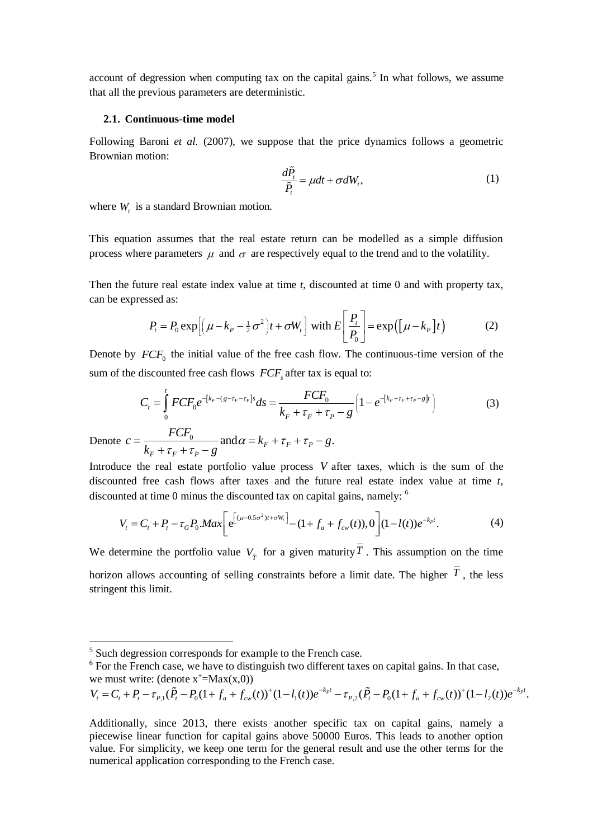account of degression when computing tax on the capital gains.<sup>5</sup> In what follows, we assume that all the previous parameters are deterministic.

#### **2.1. Continuous-time model**

Following Baroni *et al.* (2007), we suppose that the price dynamics follows a geometric Brownian motion:

$$
\frac{d\tilde{P}_t}{\tilde{P}_t} = \mu dt + \sigma dW_t, \tag{1}
$$

where  $W_t$  is a standard Brownian motion.

This equation assumes that the real estate return can be modelled as a simple diffusion process where parameters  $\mu$  and  $\sigma$  are respectively equal to the trend and to the volatility.

Then the future real estate index value at time *t*, discounted at time 0 and with property tax,<br>can be expressed as:<br> $P = P_0 \exp[(\mu - k_B - \frac{1}{2}\sigma^2)t + \sigma W]$  with  $E\left[\frac{P_t}{T}\right] = \exp((\mu - k_B)t)$  (2) can be expressed as:

Let the result that that the 
$$
t
$$
, the second term is the sum of the  $t$  and the second term is given by:

\n
$$
P_t = P_0 \exp\left[\left(\mu - k_p - \frac{1}{2}\sigma^2\right)t + \sigma W_t\right] \text{ with } E\left[\frac{P_t}{P_0}\right] = \exp\left(\left[\mu - k_p\right]t\right) \tag{2}
$$

Denote by  $FCF_0$  the initial value of the free cash flow. The continuous-time version of the

sum of the discounted free cash flows 
$$
FCF_s
$$
 after tax is equal to:  
\n
$$
C_t = \int_0^t FCF_0 e^{-[k_F - (g - \tau_F - \tau_P)s]} ds = \frac{FCF_0}{k_F + \tau_F + \tau_P - g} \left(1 - e^{-[k_F + \tau_F + \tau_P - g]t}\right)
$$
\n(3)

Denote  $c = \frac{1}{2}$  $c = \frac{FCF_0}{k_F + \tau_F + \tau_p - g}$  and  $\alpha = k_F + \tau_F + \tau_p - g$ .  $\frac{FCF_0}{k_F + \tau_F + \tau_P - g}$  $\alpha = k_F + \tau_F + \tau_P - g.$  $\frac{FCF_0}{\tau_F + \tau_P - g}$ a  $\kappa_F + \tau_F + \tau_P$  8<br>=  $\frac{FCF_0}{k + \tau + \tau = \sigma}$  and  $\alpha = k_F + \tau_F + \tau_P - g$ .  $\frac{FCF_0}{1 + \tau_F + \tau_P - g}$  and

Introduce the real estate portfolio value process *V* after taxes, which is the sum of the discounted free cash flows after taxes and the future real estate index value at time *t*,

discounted free cash flows after taxes and the future real estate index value at time *t*,  
discounted at time 0 minus the discounted tax on capital gains, namely: <sup>6</sup>  

$$
V_t = C_t + P_t - \tau_G P_0 \cdot Max \left[ e^{\left[ (\mu - 0.5\sigma^2)t + \sigma W_t \right]} - (1 + f_a + f_{cw}(t)), 0 \right] (1 - l(t)) e^{-k_t t}.
$$
 (4)

We determine the portfolio value  $V_{\overline{T}}$  for a given maturity  $T$ . This assumption on the time horizon allows accounting of selling constraints before a limit date. The higher  $T$ , the less stringent this limit.

 $\overline{a}$ 

$$
V_t = C_t + P_t - \tau_{P,1}(\tilde{P}_t - P_0(1 + f_a + f_{cw}(t)))^+(1 - l_1(t))e^{-k_p t} - \tau_{P,2}(\tilde{P}_t - P_0(1 + f_a + f_{cw}(t)))^+(1 - l_2(t))e^{-k_p t}
$$

 $5$  Such degression corresponds for example to the French case.

 $6$  For the French case, we have to distinguish two different taxes on capital gains. In that case, we must write: (denote  $x^+=Max(x,0)$ ) <sup>5</sup> Such degression corresponds for example to the French case.<br>
<sup>6</sup> For the French case, we have to distinguish two different taxes on capital gains. In that case,<br>
we must write: (denote x<sup>+</sup>=Max(x,0))<br>  $V_t = C_t + P_t - \tau_{P,1$ 

Additionally, since 2013, there exists another specific tax on capital gains, namely a piecewise linear function for capital gains above 50000 Euros. This leads to another option value. For simplicity, we keep one term for the general result and use the other terms for the numerical application corresponding to the French case.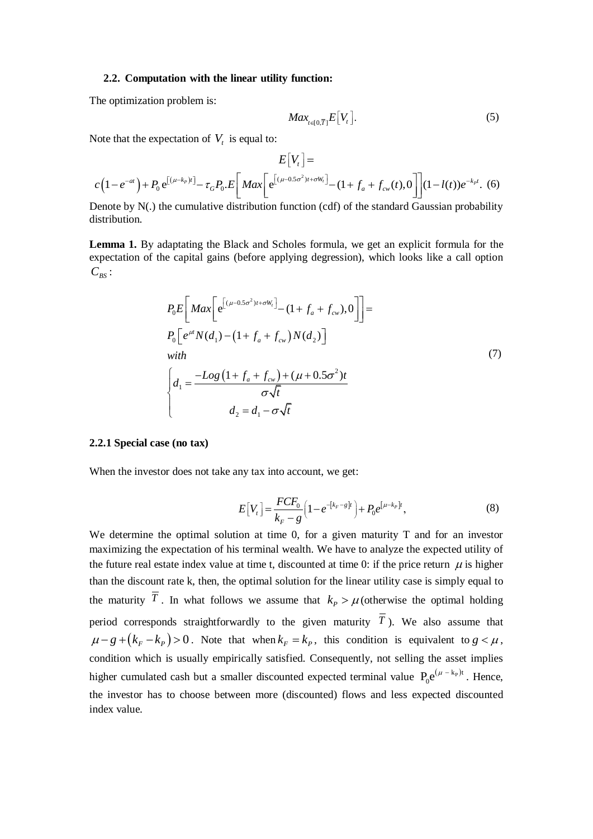#### **2.2. Computation with the linear utility function:**

The optimization problem is:

$$
Max_{t\in[0,\overline{T}]}E[V_t].
$$
\n(5)

Note that the expectation of  $V_t$  is equal to:

Note that the expectation of 
$$
V_t
$$
 is equal to:  
\n
$$
E[V_t] =
$$
\n
$$
c(1 - e^{-at}) + P_0 e^{[(\mu - k_p)t]} - \tau_G P_0 E \left[ Max \left[ e^{[(\mu - 0.5\sigma^2)t + \sigma W_t]} - (1 + f_a + f_{cw}(t), 0) \right] (1 - l(t)) e^{-k_p t} \right].
$$
\n(6)  
\nDenote by N(.) the cumulative distribution function (cdf) of the standard Gaussian probability

distribution.

**Lemma 1.** By adaptating the Black and Scholes formula, we get an explicit formula for the expectation of the capital gains (before applying degression), which looks like a call option  $C_{BS}$ :

$$
P_0 E \left[ Max \left[ e^{[(\mu - 0.5\sigma^2)t + \sigma W_t]} - (1 + f_a + f_{cw}), 0 \right] \right] =
$$
  
\n
$$
P_0 \left[ e^{i\mu} N(d_1) - (1 + f_a + f_{cw}) N(d_2) \right]
$$
  
\nwith  
\n
$$
\begin{cases}\nd_1 = \frac{-Log (1 + f_a + f_{cw}) + (\mu + 0.5\sigma^2)t}{\sigma \sqrt{t}} \\
d_2 = d_1 - \sigma \sqrt{t}\n\end{cases}
$$
\n(7)

#### **2.2.1 Special case (no tax)**

When the investor does not take any tax into account, we get:

$$
E[V_t] = \frac{FCF_0}{k_F - g} \left( 1 - e^{-[k_F - g]t} \right) + P_0 e^{[\mu - k_P]t},
$$
\n(8)

We determine the optimal solution at time 0, for a given maturity T and for an investor maximizing the expectation of his terminal wealth. We have to analyze the expected utility of the future real estate index value at time t, discounted at time 0: if the price return  $\mu$  is higher than the discount rate k, then, the optimal solution for the linear utility case is simply equal to the maturity T. In what follows we assume that  $k_p > \mu$  (otherwise the optimal holding period corresponds straightforwardly to the given maturity  $T$ ). We also assume that  $\mu - g + (k_F - k_P) > 0$ . Note that when  $k_F = k_P$ , this condition is equivalent to  $g < \mu$ , condition which is usually empirically satisfied. Consequently, not selling the asset implies higher cumulated cash but a smaller discounted expected terminal value  $P_0 e^{(\mu - k_p)t}$ . Hence, the investor has to choose between more (discounted) flows and less expected discounted index value.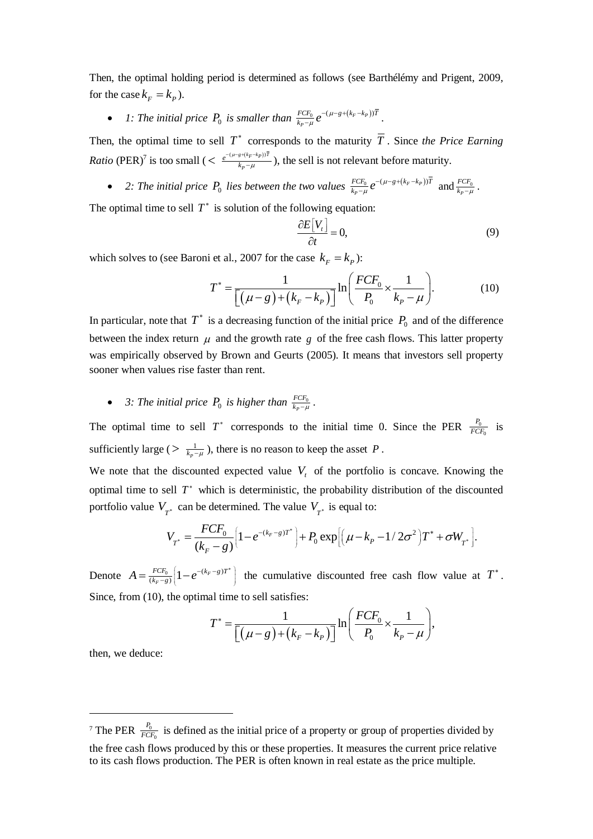Then, the optimal holding period is determined as follows (see Barthélémy and Prigent, 2009, for the case  $k_F = k_P$ ).

• 1: The initial price  $P_0$  is smaller than  $\frac{FCF_0}{k_p-\mu}e^{-(\mu-g+(k_F-k_p))}$ *P*  $FCF_0 \quad -(\mu - g + (k_F - k_P))\bar{T}$  $\frac{FCF_0}{k_P - \mu}e^{-(\mu)}$  $\mu$  $-(\mu - g + (k_F - k$  $\frac{f_0}{\mu}e^{-(\mu-g+(\kappa_F-\kappa_P))T}$ .

Then, the optimal time to sell  $T^*$  corresponds to the maturity  $\overline{T}$ . Since the Price Earning *Ratio* (PER)<sup>7</sup> is too small ( $\leq \frac{e^{-(\mu-g+(k_F-k_F))T}}{k-\mu}$ *P*  $\frac{e^{-(\mu-g)}}{k}$  $_{\mu}$  $-(\mu-g+(k_F \frac{\sum_{i}^{k} x_i p_{i}}{-\mu}$ ), the sell is not relevant before maturity.

• 2: The initial price  $P_0$  lies between the two values  $\frac{FCF_0}{k_P - \mu} e^{-(\mu - g + (k_F - k_P))}$ *P*  $FCF_0 \quad -(\mu - g + (k_F - k_P))\bar{T}$  $\frac{FCF_0}{k_P-\mu}e^{-(\mu)}$  $\mu$  $-(\mu - g + (k_F - k$  $\frac{d^{2}F_{0}}{d\mu}e^{-(\mu-g+(\kappa_{F}-\kappa_{P}))T}$  and  $\frac{d^{2}F_{0}}{d\kappa_{P}-\mu}$ *P FCF*  $\frac{FCF_0}{k_P - \mu}$ .

The optimal time to sell  $T^*$  is solution of the following equation:

$$
\frac{\partial E[V_t]}{\partial t} = 0,\tag{9}
$$

which solves to (see Baroni et al., 2007 for the case 
$$
k_F = k_P
$$
):  
\n
$$
T^* = \frac{1}{\left[ (\mu - g) + (k_F - k_P) \right]} \ln \left( \frac{FCF_0}{P_0} \times \frac{1}{k_P - \mu} \right). \tag{10}
$$

In particular, note that  $T^*$  is a decreasing function of the initial price  $P_0$  and of the difference between the index return  $\mu$  and the growth rate  $g$  of the free cash flows. This latter property was empirically observed by Brown and Geurts (2005). It means that investors sell property sooner when values rise faster than rent.

• 3: The initial price  $P_0$  is higher than  $\frac{FCF_0}{k_{P}-\mu}$ *P FCF*  $\frac{FCF_0}{k_P - \mu}$ .

The optimal time to sell  $T^*$  corresponds to the initial time 0. Since the PER  $\frac{P_0}{F}$  $\epsilon$ *P*  $\frac{r_0}{FCF_0}$  is sufficiently large ( $> \frac{1}{k-1}$  $\frac{1}{k_p - \mu}$ ), there is no reason to keep the asset P.

We note that the discounted expected value  $V<sub>t</sub>$  of the portfolio is concave. Knowing the optimal time to sell  $T^*$  which is deterministic, the probability distribution of the discounted portfolio value  $V_{T^*}$  can be determined. The value  $V_{T^*}$  is equal to:

$$
V_{T^*} \text{ can be determined. The value } V_{T^*} \text{ is equal to:}
$$
\n
$$
V_{T^*} = \frac{FCF_0}{(k_F - g)} \Big[ 1 - e^{-(k_F - g)T^*} \Big] + P_0 \exp \Big[ \Big( \mu - k_P - 1/2\sigma^2 \Big) T^* + \sigma W_{T^*} \Big].
$$

Denote  $A = \frac{FCF_0}{(k_F - g)} \left[ 1 - e^{-(k_F - g)} \right]$  $A = \frac{FCF_0}{(k_F - g)} \left[ 1 - e^{-(k_F - g)T^*} \right]$  $=\frac{FCF_0}{(k_F-g)}\left[1-e^{-(k_F-g)T^*}\right]$  the cumulative discounted free cash flow value at  $T^*$ . Since, from (10), the optimal time to sell satisfies:  $\left(\frac{FCF_{0}}{2} \times \frac{1}{2}\right)$ 

al time to sell satisfies:  
\n
$$
T^* = \frac{1}{\left[ (\mu - g) + (k_F - k_P) \right]} \ln \left( \frac{FCF_0}{P_0} \times \frac{1}{k_P - \mu} \right),
$$

then, we deduce:

 $\overline{a}$ 

<sup>&</sup>lt;sup>7</sup> The PER  $\frac{r_0}{FC}$  $\mathbf{0}$ *P*  $\frac{r_0}{FCF_0}$  is defined as the initial price of a property or group of properties divided by the free cash flows produced by this or these properties. It measures the current price relative to its cash flows production. The PER is often known in real estate as the price multiple.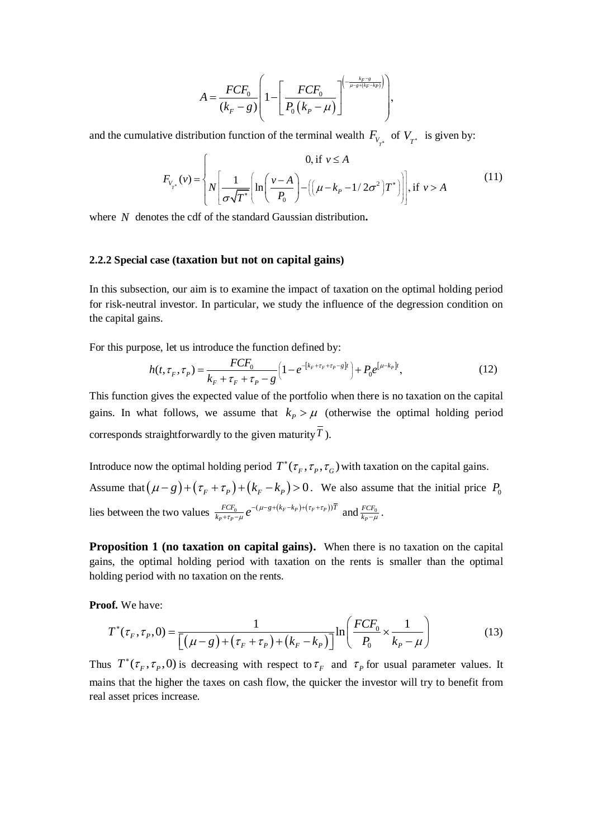$$
A = \frac{FCF_0}{(k_F - g)} \left( 1 - \left[ \frac{FCF_0}{P_0(k_P - \mu)} \right]^{ \left( - \frac{k_F - g}{\mu - g + (k_F - k_P)} \right) } \right),
$$

and the cumulative distribution function of the terminal wealth 
$$
F_{V_{T^*}}
$$
 of  $V_{T^*}$  is given by:  
\n
$$
F_{V_{T^*}}(v) = \begin{cases} 0, & \text{if } v \le A \\ N \left[ \frac{1}{\sigma \sqrt{T^*}} \left[ \ln \left( \frac{v - A}{P_0} \right) - \left( \left( \mu - k_p - 1/2\sigma^2 \right) T^* \right) \right], & \text{if } v > A \end{cases}
$$
\n(11)

where *N* denotes the cdf of the standard Gaussian distribution**.**

#### **2.2.2 Special case (taxation but not on capital gains)**

In this subsection, our aim is to examine the impact of taxation on the optimal holding period for risk-neutral investor. In particular, we study the influence of the degression condition on the capital gains.

For this purpose, let us introduce the function defined by:  
\n
$$
h(t, \tau_F, \tau_P) = \frac{FCF_0}{k_F + \tau_F + \tau_P - g} \left( 1 - e^{-[k_F + \tau_F + \tau_P - g]t} \right) + P_0 e^{[\mu - k_P]t},
$$
\n(12)

This function gives the expected value of the portfolio when there is no taxation on the capital gains. In what follows, we assume that  $k_p > \mu$  (otherwise the optimal holding period corresponds straightforwardly to the given maturity *T* ).

Introduce now the optimal holding period  $T^*(\tau_F, \tau_P, \tau_G)$  with taxation on the capital gains. Assume that  $(\mu - g) + (\tau_F + \tau_P) + (k_F - k_P) > 0$ . We also assume that the initial price  $P_0$ . lies between the two values  $\frac{FCF_0}{k_+ + \tau_{-}} e^{-(\mu - g + (k_F - k_P) + (\tau_F + \tau_P))}$  $P + \tau_P$  $FCF_0$   $q^{-\frac{(\mu - g + (k_F - k_P) + (\tau_F + \tau_P))\bar{T}}{2}}$  $\frac{FCF_0}{k_P + \tau_P - \mu} e^{-(\mu - g + (k_F - k_P) + (\tau_F + \tau_P))}$  $\frac{C_{t_0}}{\tau_p - \mu}e$  $-(\mu - g + (k_F - k_P) + (\tau_F + \tau_P))$  $\frac{r Cr_0}{r + r_p - \mu} e^{-(\mu - g + (\kappa_F - \kappa_P) + (r_F + r_P))T}$  and  $\frac{r cr_0}{\kappa_{P} - \mu}$ *P FCF*  $\frac{r cr_0}{k_P - \mu}$ .

**Proposition 1 (no taxation on capital gains).** When there is no taxation on the capital gains, the optimal holding period with taxation on the rents is smaller than the optimal holding period with no taxation on the rents.

**Proof.** We have:

of. We have:  
\n
$$
T^*(\tau_F, \tau_P, 0) = \frac{1}{\left[ (\mu - g) + (\tau_F + \tau_P) + (k_F - k_P) \right]} \ln \left( \frac{FCF_0}{P_0} \times \frac{1}{k_P - \mu} \right)
$$
\n(13)

Thus  $T^*(\tau_F, \tau_P, 0)$  is decreasing with respect to  $\tau_F$  and  $\tau_P$  for usual parameter values. It mains that the higher the taxes on cash flow, the quicker the investor will try to benefit from real asset prices increase.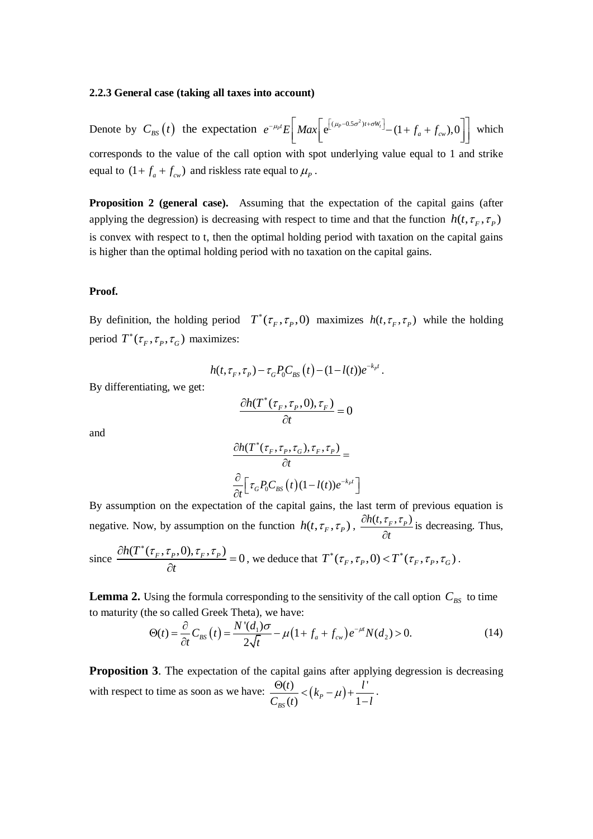#### **2.2.3 General case (taking all taxes into account)**

Denote by  $C_{BS}(t)$  the expectation  $e^{-\mu_P t} E \mid Max \mid e^{(\mu_P - 0.5\sigma^2)}$  $\int_{P}^{1} E\left[ Max \left[ e^{[(\mu_{p}-0.5\sigma^{2})t+\sigma W_{t}]} - (1+f_{a}+f_{cw}), 0 \right] \right]$  $\int dE \left[ M \right]$  $e^{-\mu_P t} E\left[ Max \left[ e^{[(\mu_P - 0.5\sigma^2)t + \sigma W_t]} - (1 + f_a + f_{cw}), 0 \right] \right]$  which which corresponds to the value of the call option with spot underlying value equal to 1 and strike equal to  $(1 + f_a + f_{cw})$  and riskless rate equal to  $\mu_p$ .

**Proposition 2 (general case).** Assuming that the expectation of the capital gains (after applying the degression) is decreasing with respect to time and that the function  $h(t, \tau_F, \tau_P)$ is convex with respect to t, then the optimal holding period with taxation on the capital gains is higher than the optimal holding period with no taxation on the capital gains.

#### **Proof.**

By definition, the holding period  $T^*(\tau_F, \tau_P, 0)$  maximizes  $h(t, \tau_F, \tau_P)$  while the holding period  $T^*(\tau_F, \tau_P, \tau_G)$  maximizes:

$$
h(t,\tau_F,\tau_P) - \tau_G P_0 C_{BS}(t) - (1 - l(t))e^{-k_P t}.
$$

By differentiating, we get:

$$
\frac{\partial h(T^*(\tau_F, \tau_P, 0), \tau_F)}{\partial t} = 0
$$

and

$$
\frac{\partial h(T^*(\tau_F, \tau_P, \tau_G), \tau_F, \tau_P)}{\partial t} =
$$

$$
\frac{\partial}{\partial t} \Big[ \tau_G P_0 C_{BS}(t) (1 - l(t)) e^{-k_P t} \Big]
$$

By assumption on the expectation of the capital gains, the last term of previous equation is negative. Now, by assumption on the function  $h(t, \tau_F, \tau_P)$ ,  $\frac{\partial h(t, \tau_F, \tau_P)}{\partial t}$ *t*  $\partial h(t, \tau_{F}, \tau_{F})$  $\partial$ is decreasing. Thus,

since 
$$
\frac{\partial h(T^*(\tau_F, \tau_P, 0), \tau_F, \tau_P)}{\partial t} = 0
$$
, we deduce that  $T^*(\tau_F, \tau_P, 0) < T^*(\tau_F, \tau_P, \tau_G)$ .

**Lemma 2.** Using the formula corresponding to the sensitivity of the call option  $C_{BS}$  to time to maturity (the so called Greek Theta), we have:<br>  $\Theta(t) = \frac{\partial}{\partial t} C_{BS}(t) = \frac{N'(d_1)\sigma}{2\sqrt{t}} - \mu(1 + f_a + f_{cw})e^{-\mu t}N(d_2) > 0.$  (14 to maturity (the so called Greek Theta), we have:

to maturity (the so called Greek Thetan), we have:  
\n
$$
\Theta(t) = \frac{\partial}{\partial t} C_{BS}(t) = \frac{N'(d_1)\sigma}{2\sqrt{t}} - \mu \left(1 + f_a + f_{cw}\right) e^{-\mu t} N(d_2) > 0.
$$
\n(14)

**Proposition 3.** The expectation of the capital gains after applying degression is decreasing with respect to time as soon as we have:  $\frac{\Theta(t)}{\Theta(t)} < (k_p - \mu) + \frac{l'}{l}$  $\frac{1}{\log(t)} < (k_p - \mu) + \frac{1}{1}$ *t*  $\frac{t}{k}$  <  $(k_p - \mu) + \frac{l}{k}$  $\frac{\Theta(t)}{C_{BS}(t)} < (k_p - \mu) + \frac{l'}{1 - l}$ .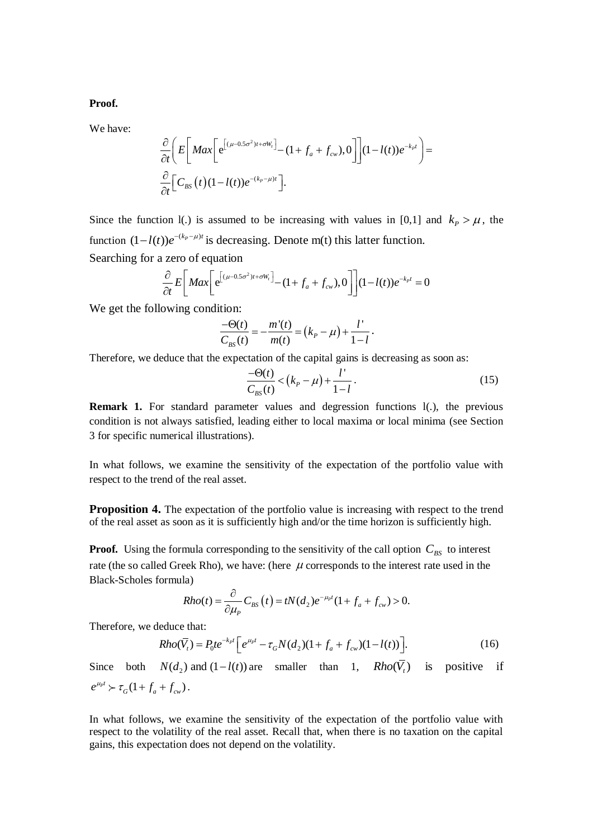**Proof.**

We have:

$$
\frac{\partial}{\partial t} \left( E \left[ Max \left[ e^{(\mu - 0.5 \sigma^2)t + \sigma W_t} \right] - (1 + f_a + f_{cw}), 0 \right] \right] (1 - l(t)) e^{-k_p t} \right) =
$$
\n
$$
\frac{\partial}{\partial t} \left[ C_{BS}(t) (1 - l(t)) e^{-(k_p - \mu)t} \right].
$$

Since the function 1(.) is assumed to be increasing with values in [0,1] and  $k_p > \mu$ , the function  $(1-l(t))e^{-(k_p-\mu)t}$  is decreasing. Denote m(t) this latter function. Searching for a zero of equation

zero of equation  
\n
$$
\frac{\partial}{\partial t} E \left[ Max \left[ e^{[(\mu - 0.5\sigma^2)t + \sigma W_t]} - (1 + f_a + f_{cw}), 0 \right] \right] (1 - l(t)) e^{-k_P t} = 0
$$

We get the following condition:

$$
\frac{-\Theta(t)}{C_{BS}(t)} = -\frac{m'(t)}{m(t)} = (k_p - \mu) + \frac{l'}{1 - l}.
$$

Therefore, we deduce that the expectation of the capital gains is decreasing as soon as:

$$
\frac{-\Theta(t)}{C_{BS}(t)} < (k_P - \mu) + \frac{l'}{1 - l}.
$$
 (15)

**Remark 1.** For standard parameter values and degression functions 1(.), the previous condition is not always satisfied, leading either to local maxima or local minima (see Section 3 for specific numerical illustrations).

In what follows, we examine the sensitivity of the expectation of the portfolio value with respect to the trend of the real asset.

**Proposition 4.** The expectation of the portfolio value is increasing with respect to the trend of the real asset as soon as it is sufficiently high and/or the time horizon is sufficiently high.

**Proof.** Using the formula corresponding to the sensitivity of the call option  $C_{BS}$  to interest rate (the so called Greek Rho), we have: (here  $\mu$  corresponds to the interest rate used in the Black-Scholes formula)

la)  
\n
$$
Rho(t) = \frac{\partial}{\partial \mu_P} C_{BS}(t) = tN(d_2)e^{-\mu_P t}(1 + f_a + f_{cw}) > 0.
$$

Therefore, we deduce that:

$$
\text{educe that:} \\
\text{Rho}(\overline{V}_t) = P_0 t e^{-k_p t} \left[ e^{\mu_p t} - \tau_G N(d_2) (1 + f_a + f_{cw}) (1 - l(t)) \right].\n\tag{16}
$$

Since both  $N(d_2)$  and  $(1-l(t))$  are smaller than 1,  $Rho(\bar{V}_t)$  is positive if  $e^{\mu_p t} > \tau_G(1 + f_a + f_{cw})$ .

In what follows, we examine the sensitivity of the expectation of the portfolio value with respect to the volatility of the real asset. Recall that, when there is no taxation on the capital gains, this expectation does not depend on the volatility.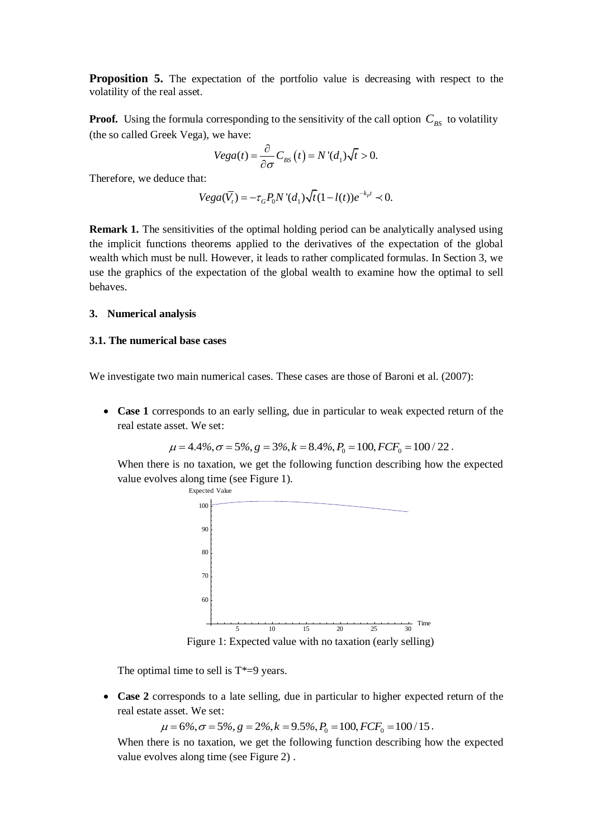**Proposition 5.** The expectation of the portfolio value is decreasing with respect to the volatility of the real asset.

**Proof.** Using the formula corresponding to the sensitivity of the call option  $C_{BS}$  to volatility (the so called Greek Vega), we have:

We have:  
\n
$$
Vega(t) = \frac{\partial}{\partial \sigma} C_{BS}(t) = N'(d_1)\sqrt{t} > 0.
$$

Therefore, we deduce that:

at:  
\n
$$
Vega(\overline{V}_t) = -\tau_G P_0 N'(d_1) \sqrt{t} (1 - l(t)) e^{-k_p t} \prec 0.
$$

**Remark 1.** The sensitivities of the optimal holding period can be analytically analysed using the implicit functions theorems applied to the derivatives of the expectation of the global wealth which must be null. However, it leads to rather complicated formulas. In Section 3, we use the graphics of the expectation of the global wealth to examine how the optimal to sell behaves.

#### **3. Numerical analysis**

#### **3.1. The numerical base cases**

We investigate two main numerical cases. These cases are those of Baroni et al. (2007):

• Case 1 corresponds to an early selling, due in particular to weak expected return of the real estate asset. We set:<br> $\mu = 4.4\%, \sigma = 5\%, g = 3\%, k = 8.4\%, P_0 = 100, FCF_0 = 100 / 22$ . real estate asset. We set:

$$
\mu = 4.4\%, \sigma = 5\%, g = 3\%, k = 8.4\%, P_0 = 100, FCF_0 = 100 / 22
$$

When there is no taxation, we get the following function describing how the expected value evolves along time (see Figure 1).



Figure 1: Expected value with no taxation (early selling)

The optimal time to sell is  $T^*=9$  years.

 **Case 2** corresponds to a late selling, due in particular to higher expected return of the real estate asset. We set:

 $\mu = 6\%, \sigma = 5\%, g = 2\%, k = 9.5\%, P_0 = 100, FCF_0 = 100/15$ .

When there is no taxation, we get the following function describing how the expected value evolves along time (see Figure 2) .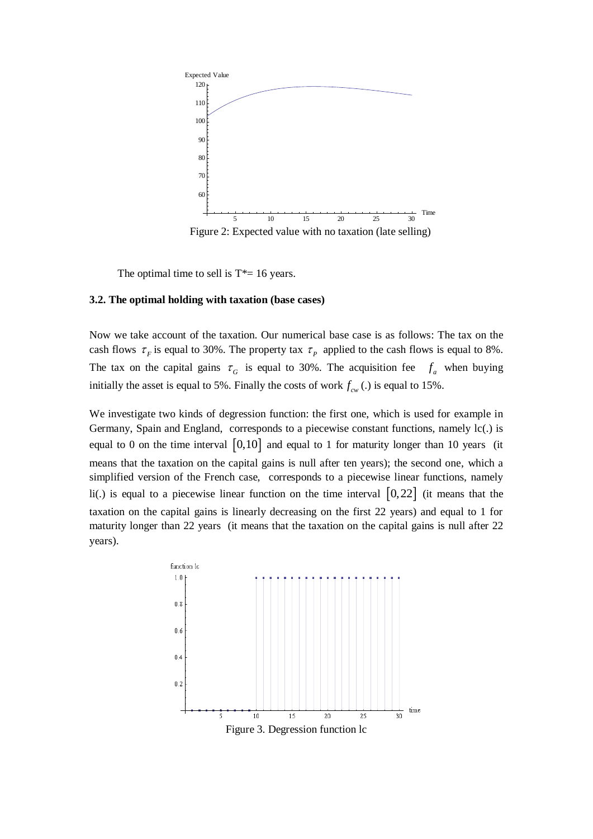

The optimal time to sell is  $T^* = 16$  years.

#### **3.2. The optimal holding with taxation (base cases)**

Now we take account of the taxation. Our numerical base case is as follows: The tax on the cash flows  $\tau_F$  is equal to 30%. The property tax  $\tau_P$  applied to the cash flows is equal to 8%. The tax on the capital gains  $\tau_G$  is equal to 30%. The acquisition fee  $f_a$  when buying initially the asset is equal to 5%. Finally the costs of work  $f_{cw}$  (.) is equal to 15%.

We investigate two kinds of degression function: the first one, which is used for example in Germany, Spain and England, corresponds to a piecewise constant functions, namely lc(.) is equal to 0 on the time interval  $\begin{bmatrix} 0,10 \end{bmatrix}$  and equal to 1 for maturity longer than 10 years (it means that the taxation on the capital gains is null after ten years); the second one, which a simplified version of the French case, corresponds to a piecewise linear functions, namely li(.) is equal to a piecewise linear function on the time interval  $\left[0,22\right]$  (it means that the taxation on the capital gains is linearly decreasing on the first 22 years) and equal to 1 for maturity longer than 22 years (it means that the taxation on the capital gains is null after 22 years).

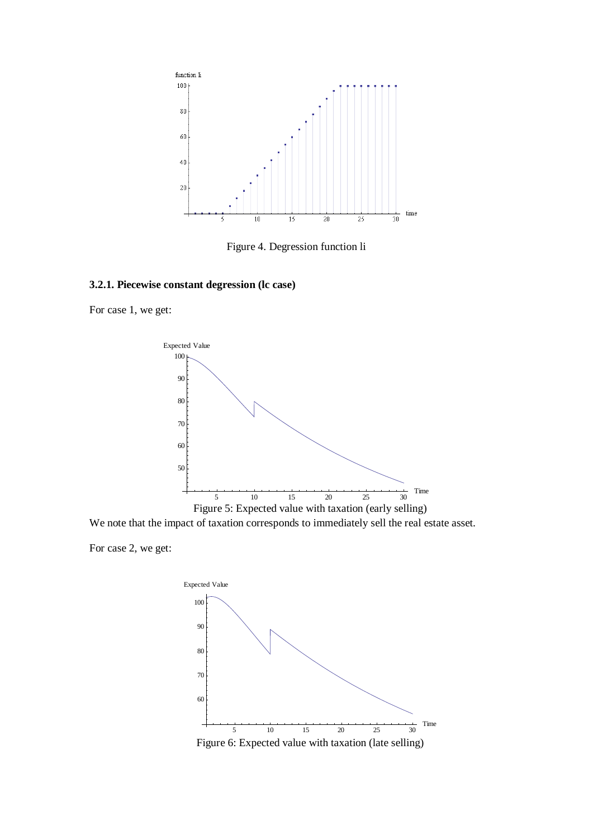

Figure 4. Degression function li

# **3.2.1. Piecewise constant degression (lc case)**

For case 1, we get:



We note that the impact of taxation corresponds to immediately sell the real estate asset.

For case 2, we get:

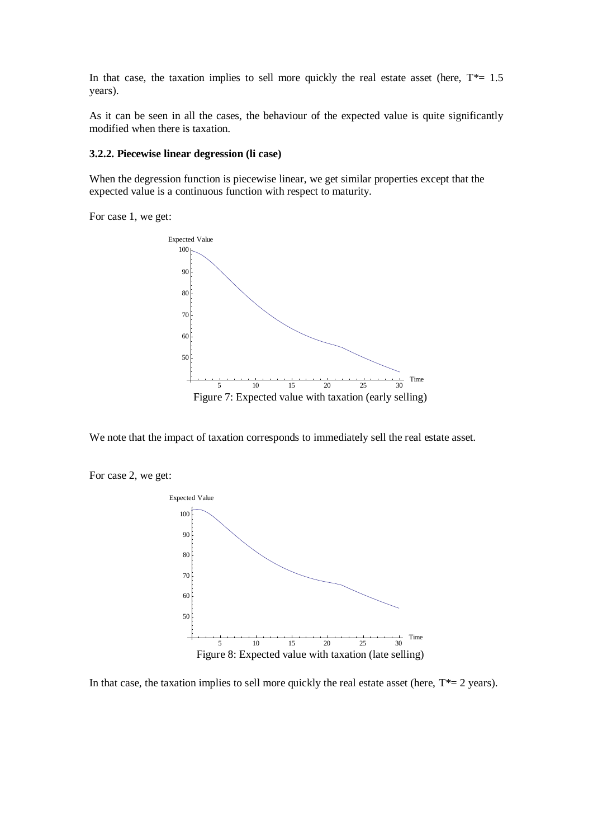In that case, the taxation implies to sell more quickly the real estate asset (here,  $T^*=1.5$ years).

As it can be seen in all the cases, the behaviour of the expected value is quite significantly modified when there is taxation.

#### **3.2.2. Piecewise linear degression (li case)**

When the degression function is piecewise linear, we get similar properties except that the expected value is a continuous function with respect to maturity.

For case 1, we get:



We note that the impact of taxation corresponds to immediately sell the real estate asset.

For case 2, we get:



In that case, the taxation implies to sell more quickly the real estate asset (here,  $T^*=2$  years).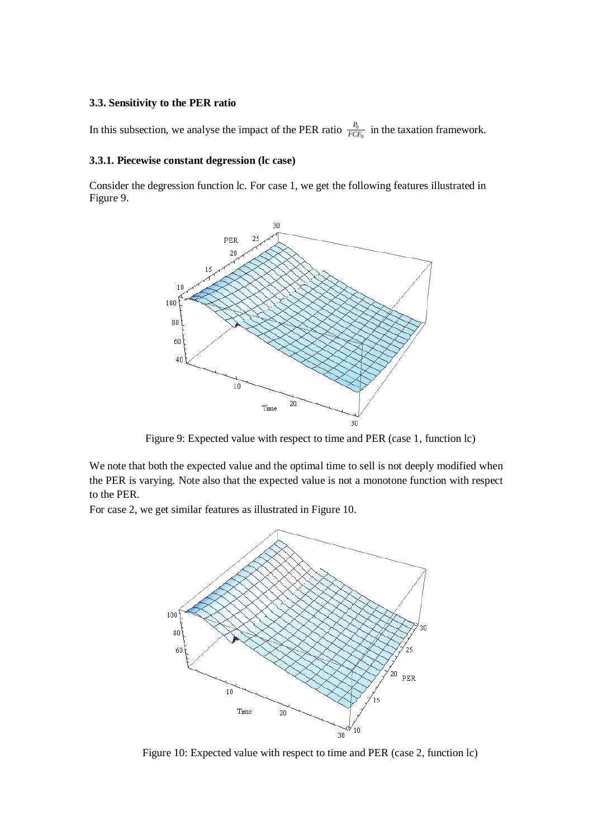#### **3.3. Sensitivity to the PER ratio**

In this subsection, we analyse the impact of the PER ratio  $\frac{r_0}{F}$  $\epsilon$ *P*  $\frac{F_0}{FCF_0}$  in the taxation framework.

#### **3.3.1. Piecewise constant degression (lc case)**

Consider the degression function lc. For case 1, we get the following features illustrated in Figure 9.



Figure 9: Expected value with respect to time and PER (case 1, function lc)

We note that both the expected value and the optimal time to sell is not deeply modified when the PER is varying. Note also that the expected value is not a monotone function with respect to the PER.

For case 2, we get similar features as illustrated in Figure 10.



Figure 10: Expected value with respect to time and PER (case 2, function lc)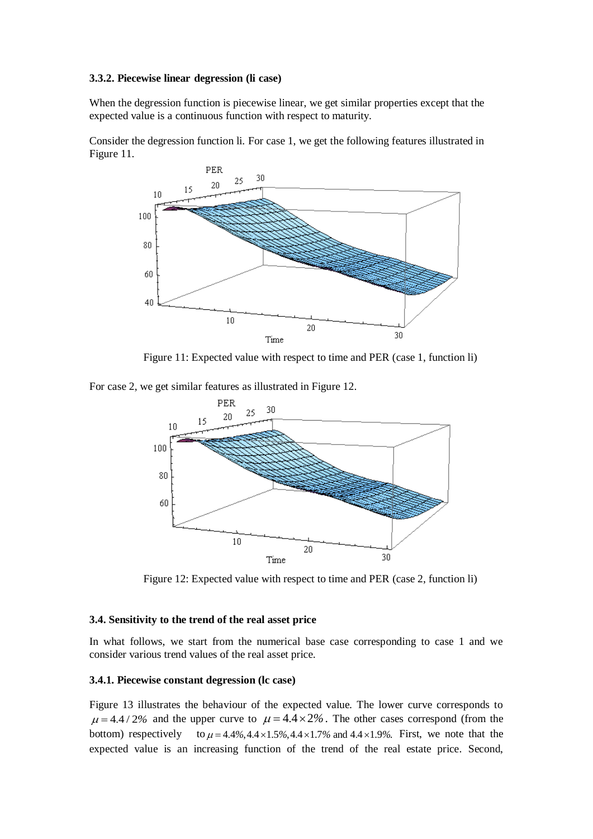#### **3.3.2. Piecewise linear degression (li case)**

When the degression function is piecewise linear, we get similar properties except that the expected value is a continuous function with respect to maturity.

Consider the degression function li. For case 1, we get the following features illustrated in Figure 11.



Figure 11: Expected value with respect to time and PER (case 1, function li)

For case 2, we get similar features as illustrated in Figure 12.



Figure 12: Expected value with respect to time and PER (case 2, function li)

# **3.4. Sensitivity to the trend of the real asset price**

In what follows, we start from the numerical base case corresponding to case 1 and we consider various trend values of the real asset price.

#### **3.4.1. Piecewise constant degression (lc case)**

Figure 13 illustrates the behaviour of the expected value. The lower curve corresponds to  $\mu = 4.4 / 2\%$  and the upper curve to  $\mu = 4.\overline{4} \times 2\%$ . The other cases correspond (from the bottom) respectively to  $\mu = 4.4\%, 4.4 \times 1.5\%, 4.4 \times 1.7\%$  and  $4.4 \times 1.9\%$ . First, we note that the bottom) respectively to  $\mu = 4.4\%$ ,  $4.4 \times 1.5\%$ ,  $4.4 \times 1.7\%$  and  $4.4 \times 1.9\%$ . First, we note that the expected value is an increasing function of the trend of the real estate price. Second,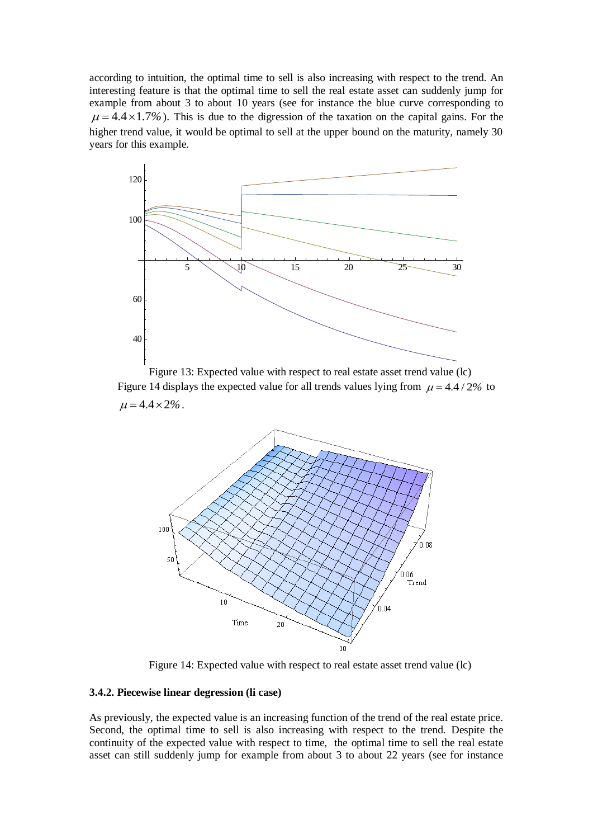according to intuition, the optimal time to sell is also increasing with respect to the trend. An interesting feature is that the optimal time to sell the real estate asset can suddenly jump for example from about 3 to about 10 years (see for instance the blue curve corresponding to  $\mu = 4.4 \times 1.7\%$ ). This is due to the digression of the taxation on the capital gains. For the higher trend value, it would be optimal to sell at the upper bound on the maturity, namely 30 years for this example.



Figure 13: Expected value with respect to real estate asset trend value (lc) Figure 14 displays the expected value for all trends values lying from  $\mu = 4.4 / 2\%$  to  $\mu = 4.4 \times 2\%$ .



Figure 14: Expected value with respect to real estate asset trend value (lc)

#### **3.4.2. Piecewise linear degression (li case)**

As previously, the expected value is an increasing function of the trend of the real estate price. Second, the optimal time to sell is also increasing with respect to the trend. Despite the continuity of the expected value with respect to time, the optimal time to sell the real estate asset can still suddenly jump for example from about 3 to about 22 years (see for instance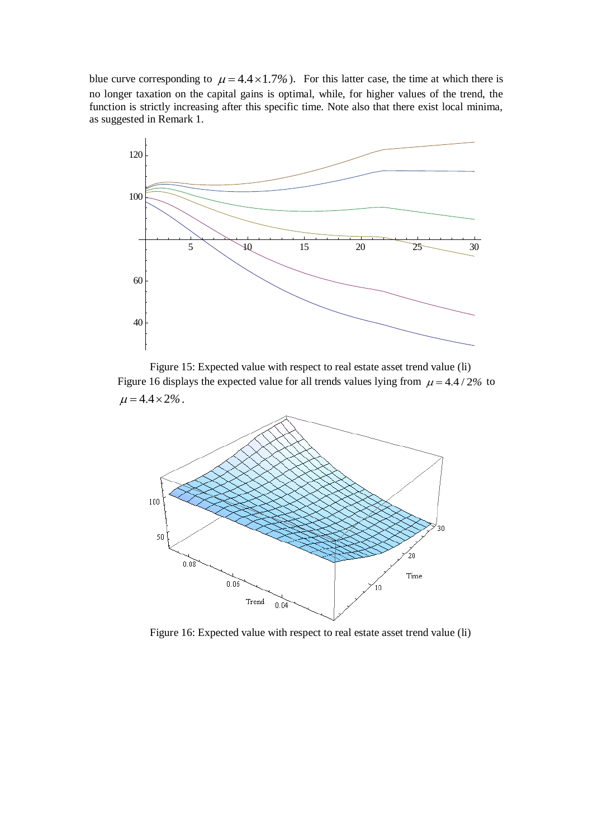blue curve corresponding to  $\mu = 4.4 \times 1.7\%$ ). For this latter case, the time at which there is no longer taxation on the capital gains is optimal, while, for higher values of the trend, the function is strictly increasing after this specific time. Note also that there exist local minima, as suggested in Remark 1.



Figure 15: Expected value with respect to real estate asset trend value (li) Figure 16 displays the expected value for all trends values lying from  $\mu = 4.4 / 2\%$  to  $\mu = 4.4 \times 2\%$ .



Figure 16: Expected value with respect to real estate asset trend value (li)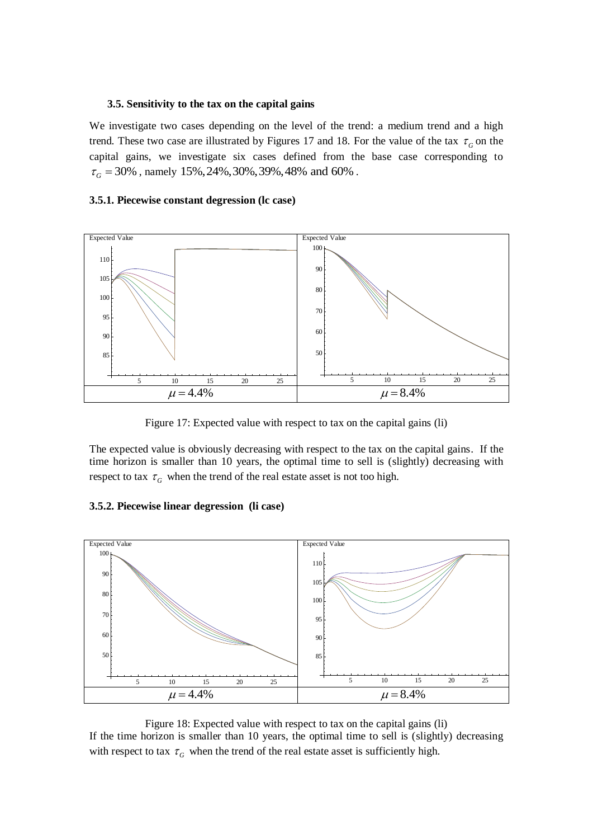#### **3.5. Sensitivity to the tax on the capital gains**

We investigate two cases depending on the level of the trend: a medium trend and a high trend. These two case are illustrated by Figures 17 and 18. For the value of the tax  $\tau_G$  on the capital gains, we investigate six cases defined from the base case corresponding to  $\tau_{\rm G} = 30\%$  , namely  $15\%, 24\%, 30\%, 39\%, 48\%$  and  $60\%$  .

#### **3.5.1. Piecewise constant degression (lc case)**



Figure 17: Expected value with respect to tax on the capital gains (li)

The expected value is obviously decreasing with respect to the tax on the capital gains. If the time horizon is smaller than 10 years, the optimal time to sell is (slightly) decreasing with respect to tax  $\tau_G$  when the trend of the real estate asset is not too high.

#### **3.5.2. Piecewise linear degression (li case)**



Figure 18: Expected value with respect to tax on the capital gains (li) If the time horizon is smaller than 10 years, the optimal time to sell is (slightly) decreasing with respect to tax  $\tau_G$  when the trend of the real estate asset is sufficiently high.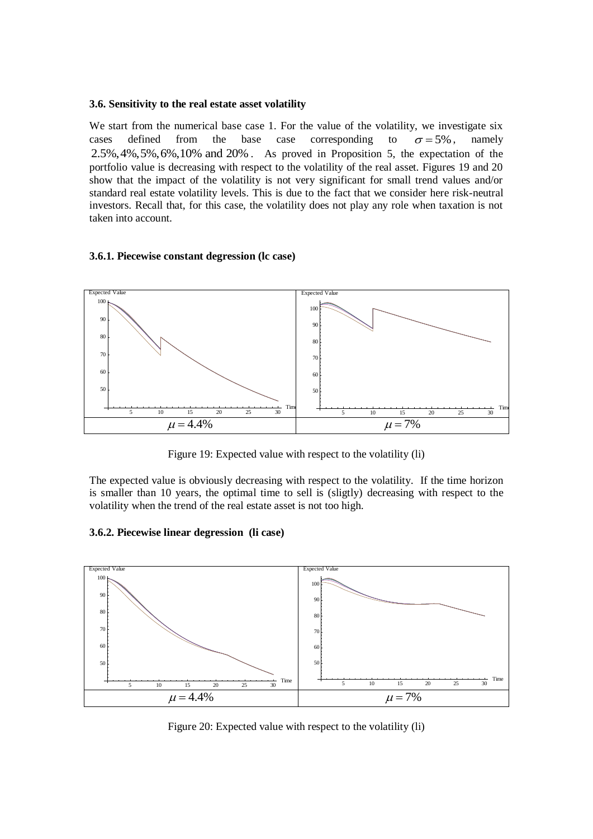#### **3.6. Sensitivity to the real estate asset volatility**

We start from the numerical base case 1. For the value of the volatility, we investigate six cases defined from the base case corresponding to  $\sigma$  = 5%. , namely 2.5%,4%,5%,6%,10% and 20% . As proved in Proposition 5, the expectation of the portfolio value is decreasing with respect to the volatility of the real asset. Figures 19 and 20 show that the impact of the volatility is not very significant for small trend values and/or standard real estate volatility levels. This is due to the fact that we consider here risk-neutral investors. Recall that, for this case, the volatility does not play any role when taxation is not taken into account.

#### **3.6.1. Piecewise constant degression (lc case)**



Figure 19: Expected value with respect to the volatility (li)

The expected value is obviously decreasing with respect to the volatility. If the time horizon is smaller than 10 years, the optimal time to sell is (sligtly) decreasing with respect to the volatility when the trend of the real estate asset is not too high.

# **3.6.2. Piecewise linear degression (li case)**



Figure 20: Expected value with respect to the volatility (li)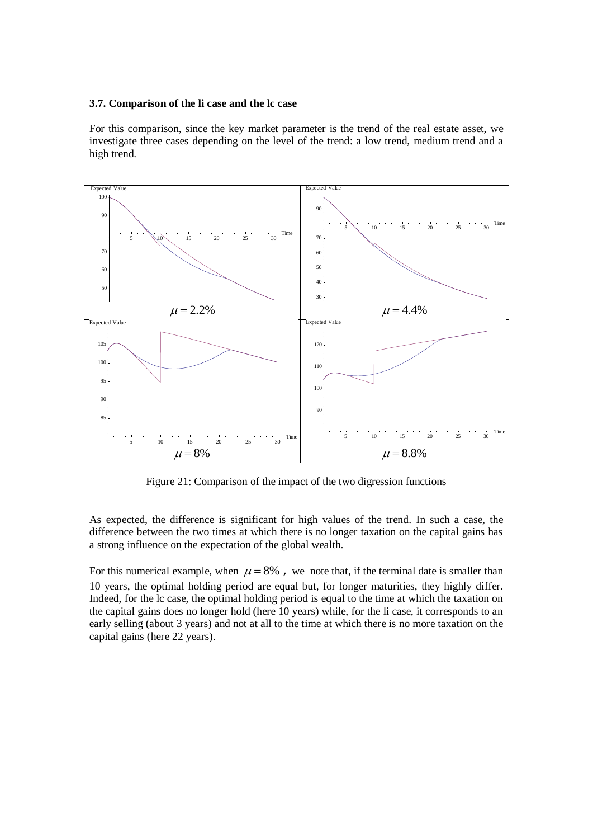#### **3.7. Comparison of the li case and the lc case**

For this comparison, since the key market parameter is the trend of the real estate asset, we investigate three cases depending on the level of the trend: a low trend, medium trend and a high trend.



Figure 21: Comparison of the impact of the two digression functions

As expected, the difference is significant for high values of the trend. In such a case, the difference between the two times at which there is no longer taxation on the capital gains has a strong influence on the expectation of the global wealth.

For this numerical example, when  $\mu = 8\%$ , we note that, if the terminal date is smaller than 10 years, the optimal holding period are equal but, for longer maturities, they highly differ. Indeed, for the lc case, the optimal holding period is equal to the time at which the taxation on the capital gains does no longer hold (here 10 years) while, for the li case, it corresponds to an early selling (about 3 years) and not at all to the time at which there is no more taxation on the capital gains (here 22 years).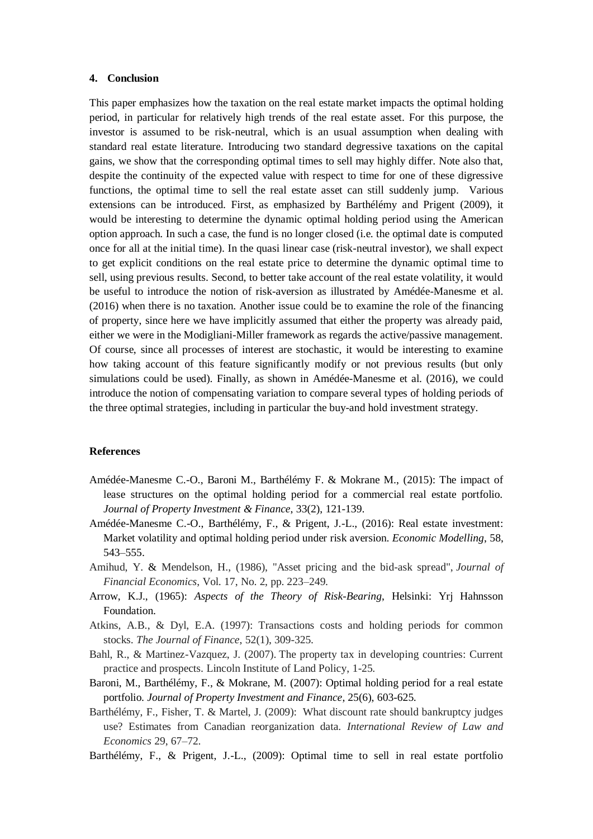#### **4. Conclusion**

This paper emphasizes how the taxation on the real estate market impacts the optimal holding period, in particular for relatively high trends of the real estate asset. For this purpose, the investor is assumed to be risk-neutral, which is an usual assumption when dealing with standard real estate literature. Introducing two standard degressive taxations on the capital gains, we show that the corresponding optimal times to sell may highly differ. Note also that, despite the continuity of the expected value with respect to time for one of these digressive functions, the optimal time to sell the real estate asset can still suddenly jump. Various extensions can be introduced. First, as emphasized by Barthélémy and Prigent (2009), it would be interesting to determine the dynamic optimal holding period using the American option approach. In such a case, the fund is no longer closed (i.e. the optimal date is computed once for all at the initial time). In the quasi linear case (risk-neutral investor), we shall expect to get explicit conditions on the real estate price to determine the dynamic optimal time to sell, using previous results. Second, to better take account of the real estate volatility, it would be useful to introduce the notion of risk-aversion as illustrated by Amédée-Manesme et al. (2016) when there is no taxation. Another issue could be to examine the role of the financing of property, since here we have implicitly assumed that either the property was already paid, either we were in the Modigliani-Miller framework as regards the active/passive management. Of course, since all processes of interest are stochastic, it would be interesting to examine how taking account of this feature significantly modify or not previous results (but only simulations could be used). Finally, as shown in Amédée-Manesme et al. (2016), we could introduce the notion of compensating variation to compare several types of holding periods of the three optimal strategies, including in particular the buy-and hold investment strategy.

#### **References**

- Amédée-Manesme C.-O., Baroni M., Barthélémy F. & Mokrane M., (2015): The impact of lease structures on the optimal holding period for a commercial real estate portfolio. *Journal of Property Investment & Finance*, 33(2), 121-139.
- Amédée-Manesme C.-O., Barthélémy, F., & Prigent, J.-L., (2016): Real estate investment: Market volatility and optimal holding period under risk aversion. *Economic Modelling*, 58, 543–555.
- Amihud, Y. & Mendelson, H., (1986), "Asset pricing and the bid-ask spread", *Journal of Financial Economics*, Vol. 17, No. 2, pp. 223–249.
- Arrow, K.J., (1965): *Aspects of the Theory of Risk-Bearing*, Helsinki: Yrj Hahnsson Foundation.
- Atkins, A.B., & Dyl, E.A. (1997): Transactions costs and holding periods for common stocks. *The Journal of Finance*, 52(1), 309-325.
- Bahl, R., & Martinez-Vazquez, J. (2007). The property tax in developing countries: Current practice and prospects. Lincoln Institute of Land Policy, 1-25.
- Baroni, M., Barthélémy, F., & Mokrane, M. (2007): Optimal holding period for a real estate portfolio. *Journal of Property Investment and Finance*, 25(6), 603-625.
- Barthélémy, F., Fisher, T. & Martel, J. (2009): What discount rate should bankruptcy judges use? Estimates from Canadian reorganization data. *International Review of Law and Economics* 29, 67–72.
- Barthélémy, F., & Prigent, J.-L., (2009): Optimal time to sell in real estate portfolio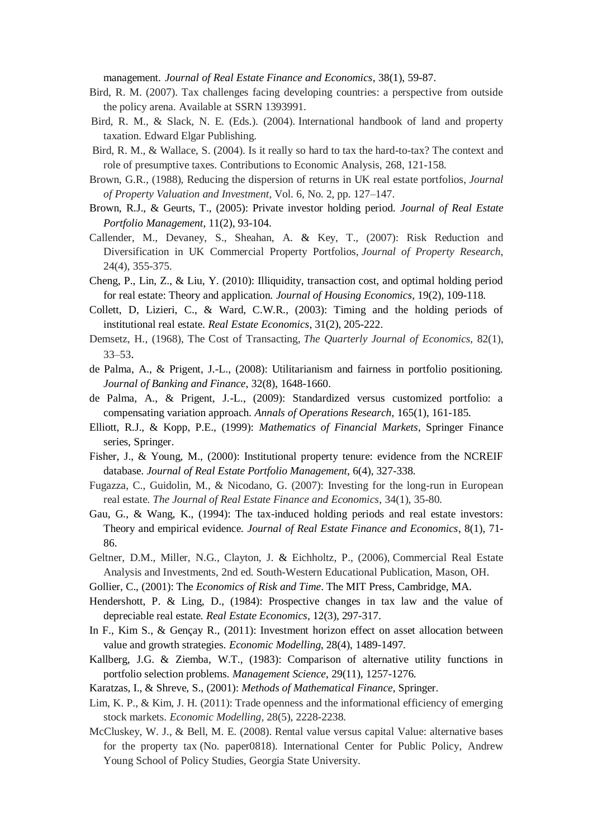management. *Journal of Real Estate Finance and Economics*, 38(1), 59-87.

- Bird, R. M. (2007). Tax challenges facing developing countries: a perspective from outside the policy arena. Available at SSRN 1393991.
- Bird, R. M., & Slack, N. E. (Eds.). (2004). International handbook of land and property taxation. Edward Elgar Publishing.
- Bird, R. M., & Wallace, S. (2004). Is it really so hard to tax the hard-to-tax? The context and role of presumptive taxes. Contributions to Economic Analysis, 268, 121-158.
- Brown, G.R., (1988), Reducing the dispersion of returns in UK real estate portfolios, *Journal of Property Valuation and Investment*, Vol. 6, No. 2, pp. 127–147.
- Brown, R.J., & Geurts, T., (2005): Private investor holding period. *Journal of Real Estate Portfolio Management*, 11(2), 93-104.
- Callender, M., Devaney, S., Sheahan, A. & Key, T., (2007): Risk Reduction and Diversification in UK Commercial Property Portfolios, *Journal of Property Research*, 24(4), 355-375.
- Cheng, P., Lin, Z., & Liu, Y. (2010): Illiquidity, transaction cost, and optimal holding period for real estate: Theory and application. *Journal of Housing Economics*, 19(2), 109-118.
- Collett, D, Lizieri, C., & Ward, C.W.R., (2003): Timing and the holding periods of institutional real estate. *Real Estate Economics*, 31(2), 205-222.
- Demsetz, H., (1968), The Cost of Transacting, *The Quarterly Journal of Economics*, 82(1), [33–53](tel:+333353).
- de Palma, A., & Prigent, J.-L., (2008): Utilitarianism and fairness in portfolio positioning. *Journal of Banking and Finance*, 32(8), 1648-1660.
- de Palma, A., & Prigent, J.-L., (2009): Standardized versus customized portfolio: a compensating variation approach. *Annals of Operations Research*, 165(1), 161-185.
- Elliott, R.J., & Kopp, P.E., (1999): *Mathematics of Financial Markets*, Springer Finance series, Springer.
- Fisher, J., & Young, M., (2000): Institutional property tenure: evidence from the NCREIF database. *Journal of Real Estate Portfolio Management*, 6(4), 327-338.
- Fugazza, C., Guidolin, M., & Nicodano, G. (2007): Investing for the long-run in European real estate. *The Journal of Real Estate Finance and Economics*, 34(1), 35-80.
- Gau, G., & Wang, K., (1994): The tax-induced holding periods and real estate investors: Theory and empirical evidence. *Journal of Real Estate Finance and Economics*, 8(1), 71- 86.
- Geltner, D.M., Miller, N.G., Clayton, J. & Eichholtz, P., (2006), Commercial Real Estate Analysis and Investments, 2nd ed. South-Western Educational Publication, Mason, OH.
- Gollier, C., (2001): The *Economics of Risk and Time*. The MIT Press, Cambridge, MA.
- Hendershott, P. & Ling, D., (1984): Prospective changes in tax law and the value of depreciable real estate. *Real Estate Economics*, 12(3), 297-317.
- In F., Kim S., & Gençay R., (2011): Investment horizon effect on asset allocation between value and growth strategies. *Economic Modelling*, 28(4), 1489-1497.
- Kallberg, J.G. & Ziemba, W.T., (1983): Comparison of alternative utility functions in portfolio selection problems. *Management Science*, 29(11), 1257-1276.
- Karatzas, I., & Shreve, S., (2001): *Methods of Mathematical Finance*, Springer.
- Lim, K. P., & Kim, J. H. (2011): Trade openness and the informational efficiency of emerging stock markets. *Economic Modelling*, 28(5), 2228-2238.
- McCluskey, W. J., & Bell, M. E. (2008). Rental value versus capital Value: alternative bases for the property tax (No. paper0818). International Center for Public Policy, Andrew Young School of Policy Studies, Georgia State University.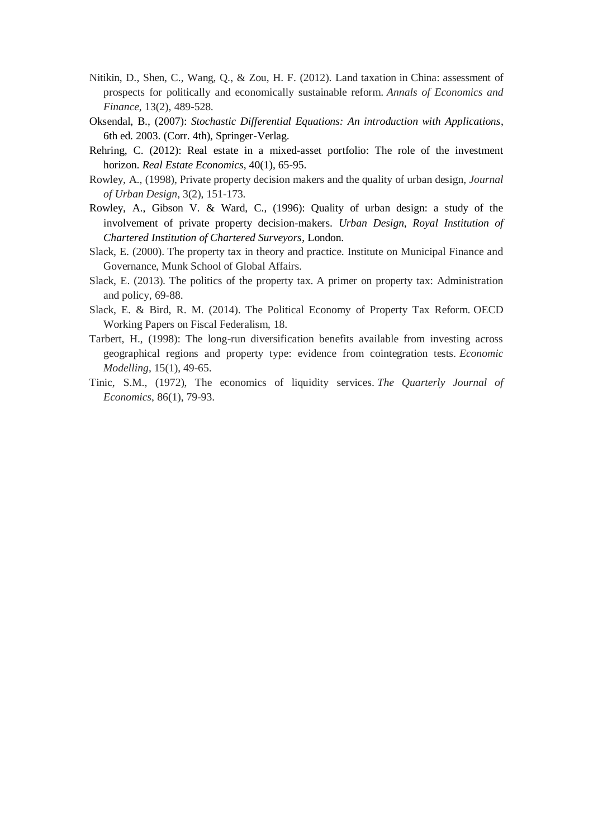- Nitikin, D., Shen, C., Wang, Q., & Zou, H. F. (2012). Land taxation in China: assessment of prospects for politically and economically sustainable reform. *Annals of Economics and Finance*, 13(2), 489-528.
- Oksendal, B., (2007): *Stochastic Differential Equations: An introduction with Applications*, 6th ed. 2003. (Corr. 4th), Springer-Verlag.
- Rehring, C. (2012): Real estate in a mixed-asset portfolio: The role of the investment horizon. *Real Estate Economics*, 40(1), 65-95.
- Rowley, A., (1998), Private property decision makers and the quality of urban design, *Journal of Urban Design*, 3(2), 151-173.
- Rowley, A., Gibson V. & Ward, C., (1996): Quality of urban design: a study of the involvement of private property decision-makers. *Urban Design*, *Royal Institution of Chartered Institution of Chartered Surveyors*, London.
- Slack, E. (2000). The property tax in theory and practice. Institute on Municipal Finance and Governance, Munk School of Global Affairs.
- Slack, E. (2013). The politics of the property tax. A primer on property tax: Administration and policy, 69-88.
- Slack, E. & Bird, R. M. (2014). The Political Economy of Property Tax Reform. OECD Working Papers on Fiscal Federalism, 18.
- Tarbert, H., (1998): The long-run diversification benefits available from investing across geographical regions and property type: evidence from cointegration tests. *Economic Modelling*, 15(1), 49-65.
- Tinic, S.M., (1972), The economics of liquidity services. *The Quarterly Journal of Economics*, 86(1), 79-93.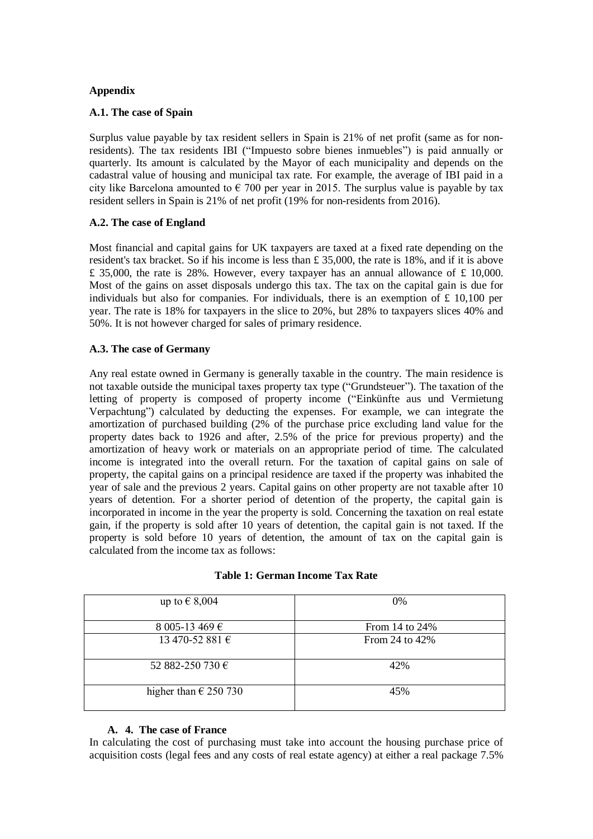# **Appendix**

### **A.1. The case of Spain**

Surplus value payable by tax resident sellers in Spain is 21% of net profit (same as for nonresidents). The tax residents IBI ("Impuesto sobre bienes inmuebles") is paid annually or quarterly. Its amount is calculated by the Mayor of each municipality and depends on the cadastral value of housing and municipal tax rate. For example, the average of IBI paid in a city like Barcelona amounted to  $\epsilon$  700 per year in 2015. The surplus value is payable by tax resident sellers in Spain is 21% of net profit (19% for non-residents from 2016).

# **A.2. The case of England**

Most financial and capital gains for UK taxpayers are taxed at a fixed rate depending on the resident's tax bracket. So if his income is less than £ 35,000, the rate is 18%, and if it is above  $£ 35,000$ , the rate is 28%. However, every taxpayer has an annual allowance of £ 10,000. Most of the gains on asset disposals undergo this tax. The tax on the capital gain is due for individuals but also for companies. For individuals, there is an exemption of  $\pounds$  10,100 per year. The rate is 18% for taxpayers in the slice to 20%, but 28% to taxpayers slices 40% and 50%. It is not however charged for sales of primary residence.

# **A.3. The case of Germany**

Any real estate owned in Germany is generally taxable in the country. The main residence is not taxable outside the municipal taxes property tax type ("Grundsteuer"). The taxation of the letting of property is composed of property income ("Einkünfte aus und Vermietung Verpachtung") calculated by deducting the expenses. For example, we can integrate the amortization of purchased building (2% of the purchase price excluding land value for the property dates back to 1926 and after, 2.5% of the price for previous property) and the amortization of heavy work or materials on an appropriate period of time. The calculated income is integrated into the overall return. For the taxation of capital gains on sale of property, the capital gains on a principal residence are taxed if the property was inhabited the year of sale and the previous 2 years. Capital gains on other property are not taxable after 10 years of detention. For a shorter period of detention of the property, the capital gain is incorporated in income in the year the property is sold. Concerning the taxation on real estate gain, if the property is sold after 10 years of detention, the capital gain is not taxed. If the property is sold before 10 years of detention, the amount of tax on the capital gain is calculated from the income tax as follows:

| up to $\in$ 8,004              | 0%                |
|--------------------------------|-------------------|
| 8 005-13 469 €                 | From 14 to 24%    |
| 13 470-52 881 €                | From 24 to $42\%$ |
| 52 882-250 730 €               | 42%               |
| higher than $\epsilon$ 250 730 | 45%               |

# **Table 1: German Income Tax Rate**

# **A. 4. The case of France**

In calculating the cost of purchasing must take into account the housing purchase price of acquisition costs (legal fees and any costs of real estate agency) at either a real package 7.5%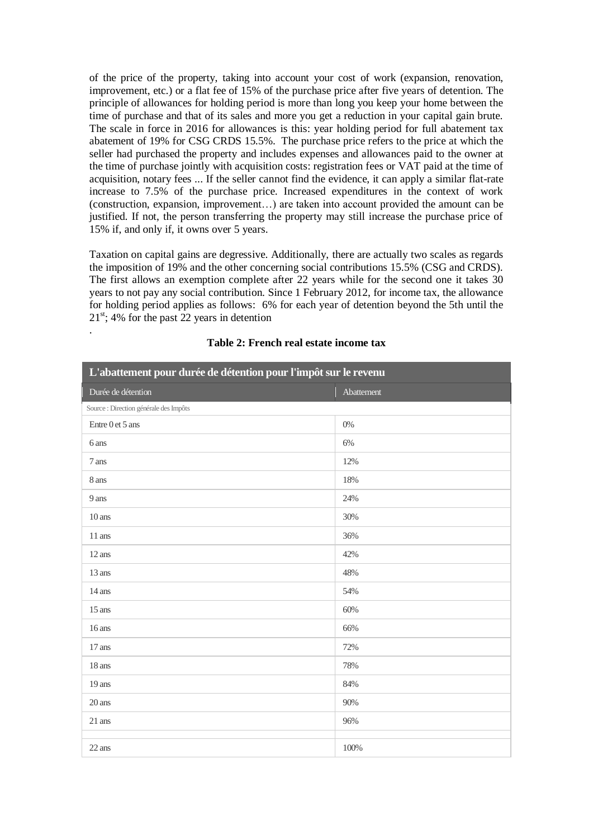of the price of the property, taking into account your cost of work (expansion, renovation, improvement, etc.) or a flat fee of 15% of the purchase price after five years of detention. The principle of allowances for holding period is more than long you keep your home between the time of purchase and that of its sales and more you get a reduction in your capital gain brute. The scale in force in 2016 for allowances is this: year holding period for full abatement tax abatement of 19% for CSG CRDS 15.5%. The purchase price refers to the price at which the seller had purchased the property and includes expenses and allowances paid to the owner at the time of purchase jointly with acquisition costs: registration fees or VAT paid at the time of acquisition, notary fees ... If the seller cannot find the evidence, it can apply a similar flat-rate increase to 7.5% of the purchase price. Increased expenditures in the context of work (construction, expansion, improvement…) are taken into account provided the amount can be justified. If not, the person transferring the property may still increase the purchase price of 15% if, and only if, it owns over 5 years.

Taxation on capital gains are degressive. Additionally, there are actually two scales as regards the imposition of 19% and the other concerning social contributions 15.5% (CSG and CRDS). The first allows an exemption complete after 22 years while for the second one it takes 30 years to not pay any social contribution. Since 1 February 2012, for income tax, the allowance for holding period applies as follows: 6% for each year of detention beyond the 5th until the  $21^{st}$ ; 4% for the past 22 years in detention

| L'abattement pour durée de détention pour l'impôt sur le revenu |            |  |
|-----------------------------------------------------------------|------------|--|
| Durée de détention                                              | Abattement |  |
| Source : Direction générale des Impôts                          |            |  |
| Entre 0 et 5 ans                                                | $0\%$      |  |
| 6 ans                                                           | 6%         |  |
| 7 ans                                                           | 12%        |  |
| 8 ans                                                           | 18%        |  |
| 9 ans                                                           | 24%        |  |
| $10$ ans                                                        | 30%        |  |
| $11$ ans                                                        | 36%        |  |
| 12 ans                                                          | 42%        |  |
| 13 ans                                                          | 48%        |  |
| 14 ans                                                          | 54%        |  |
| $15$ ans                                                        | 60%        |  |
| $16$ ans                                                        | 66%        |  |
| 17 ans                                                          | 72%        |  |
| 18 ans                                                          | 78%        |  |
| 19 ans                                                          | 84%        |  |
| 20 ans                                                          | 90%        |  |
| 21 ans                                                          | 96%        |  |
| 22 ans                                                          | 100%       |  |

#### **Table 2: French real estate income tax**

.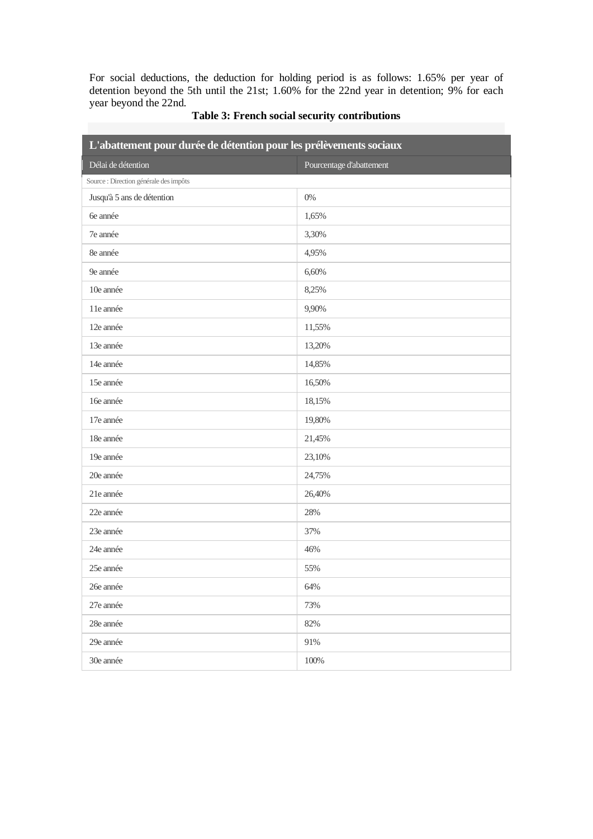For social deductions, the deduction for holding period is as follows: 1.65% per year of detention beyond the 5th until the 21st; 1.60% for the 22nd year in detention; 9% for each year beyond the 22nd.

| L'abattement pour durée de détention pour les prélèvements sociaux |                          |  |
|--------------------------------------------------------------------|--------------------------|--|
| Délai de détention                                                 | Pourcentage d'abattement |  |
| Source : Direction générale des impôts                             |                          |  |
| Jusqu'à 5 ans de détention                                         | $0\%$                    |  |
| 6e année                                                           | 1,65%                    |  |
| 7e année                                                           | 3,30%                    |  |
| 8e année                                                           | 4,95%                    |  |
| 9e année                                                           | 6,60%                    |  |
| 10e année                                                          | 8,25%                    |  |
| 11e année                                                          | 9,90%                    |  |
| 12e année                                                          | 11,55%                   |  |
| 13e année                                                          | 13,20%                   |  |
| 14e année                                                          | 14,85%                   |  |
| 15e année                                                          | 16,50%                   |  |
| 16e année                                                          | 18,15%                   |  |
| 17e année                                                          | 19,80%                   |  |
| 18e année                                                          | 21,45%                   |  |
| 19e année                                                          | 23,10%                   |  |
| 20e année                                                          | 24,75%                   |  |
| 21e année                                                          | 26,40%                   |  |
| 22e année                                                          | 28%                      |  |
| 23e année                                                          | 37%                      |  |
| 24e année                                                          | 46%                      |  |
| 25e année                                                          | 55%                      |  |
| 26e année                                                          | 64%                      |  |
| 27e année                                                          | 73%                      |  |
| 28e année                                                          | 82%                      |  |
| 29e année                                                          | 91%                      |  |
| 30e année                                                          | 100%                     |  |

# **Table 3: French social security contributions**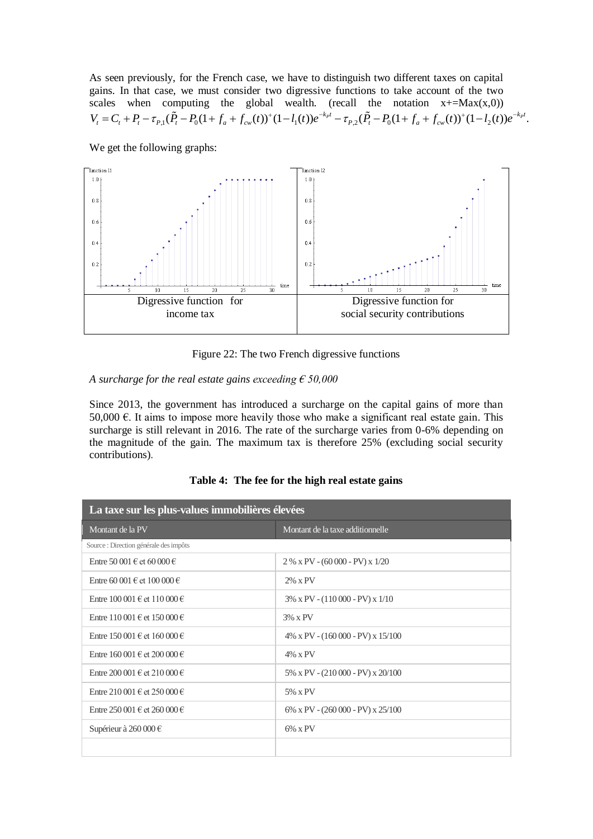As seen previously, for the French case, we have to distinguish two different taxes on capital gains. In that case, we must consider two digressive functions to take account of the two scales when computing the global wealth. (recall the notation  $x+ = Max(x,0)$ )  $V_t = C_t + P_t - \tau_{P,1}(\tilde{P}_t - P_0(1 + f_a + f_{cw}(t))^+(1 - l_1(t))e^{-k_p t} - \tau_{P,2}(\tilde{P}_t - P_0(1 + f_a + f_{cw}(t))^+(1 - l_2(t))e^{-k_p t}$ .

We get the following graphs:



Figure 22: The two French digressive functions

# *A surcharge for the real estate gains exceeding € 50,000*

Since 2013, the government has introduced a surcharge on the capital gains of more than 50,000 €. It aims to impose more heavily those who make a significant real estate gain. This surcharge is still relevant in 2016. The rate of the surcharge varies from 0-6% depending on the magnitude of the gain. The maximum tax is therefore 25% (excluding social security contributions).

| La taxe sur les plus-values immobilières élevées |                                           |  |
|--------------------------------------------------|-------------------------------------------|--|
| Montant de la PV                                 | Montant de la taxe additionnelle          |  |
| Source : Direction générale des impôts           |                                           |  |
| Entre 50 001 € et 60 000 €                       | $2\%$ x PV - (60 000 - PV) x 1/20         |  |
| Entre 60 001 € et 100 000 €                      | $2\% \times PV$                           |  |
| Entre 100 001 € et 110 000 €                     | $3\%$ x PV - $(110000 - PV)$ x 1/10       |  |
| Entre 110 001 € et 150 000 €                     | $3\% \times PV$                           |  |
| Entre 150 001 € et 160 000 €                     | $4\%$ x PV - $(160\,000 - PV)$ x $15/100$ |  |
| Entre 160 001 € et 200 000 €                     | $4\% \times PV$                           |  |
| Entre 200 001 € et 210 000 €                     | $5\%$ x PV - $(210\,000$ - PV) x $20/100$ |  |
| Entre 210 001 € et 250 000 €                     | 5% x PV                                   |  |
| Entre 250 001 € et 260 000 €                     | $6\%$ x PV - $(260\,000$ - PV) x $25/100$ |  |
| Supérieur à 260 000 $\in$                        | $6\%$ x PV                                |  |
|                                                  |                                           |  |

**Table 4: The fee for the high real estate gains**